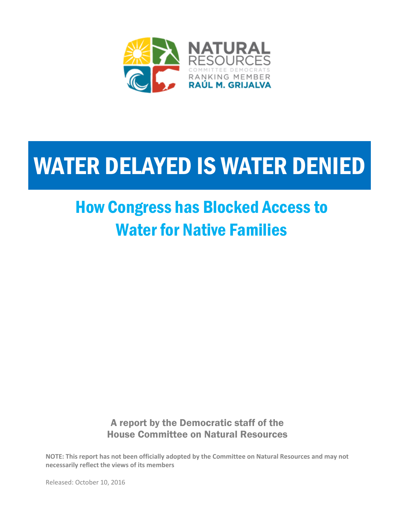

## WATER DELAYED IS WATER DENIED

## How Congress has Blocked Access to Water for Native Families

A report by the Democratic staff of the House Committee on Natural Resources

**NOTE: This report has not been officially adopted by the Committee on Natural Resources and may not necessarily reflect the views of its members**

Released: October 10, 2016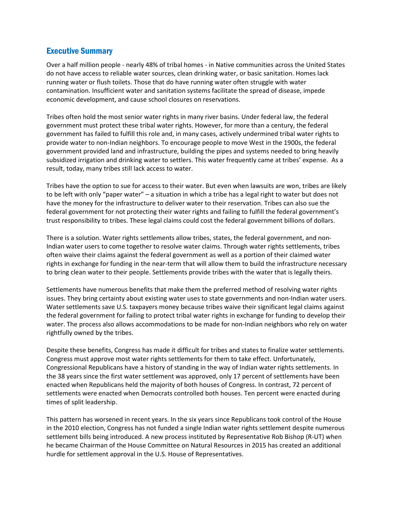### Executive Summary

Over a half million people - nearly 48% of tribal homes - in Native communities across the United States do not have access to reliable water sources, clean drinking water, or basic sanitation. Homes lack running water or flush toilets. Those that do have running water often struggle with water contamination. Insufficient water and sanitation systems facilitate the spread of disease, impede economic development, and cause school closures on reservations.

Tribes often hold the most senior water rights in many river basins. Under federal law, the federal government must protect these tribal water rights. However, for more than a century, the federal government has failed to fulfill this role and, in many cases, actively undermined tribal water rights to provide water to non-Indian neighbors. To encourage people to move West in the 1900s, the federal government provided land and infrastructure, building the pipes and systems needed to bring heavily subsidized irrigation and drinking water to settlers. This water frequently came at tribes' expense. As a result, today, many tribes still lack access to water.

Tribes have the option to sue for access to their water. But even when lawsuits are won, tribes are likely to be left with only "paper water" – a situation in which a tribe has a legal right to water but does not have the money for the infrastructure to deliver water to their reservation. Tribes can also sue the federal government for not protecting their water rights and failing to fulfill the federal government's trust responsibility to tribes. These legal claims could cost the federal government billions of dollars.

There is a solution. Water rights settlements allow tribes, states, the federal government, and non-Indian water users to come together to resolve water claims. Through water rights settlements, tribes often waive their claims against the federal government as well as a portion of their claimed water rights in exchange for funding in the near-term that will allow them to build the infrastructure necessary to bring clean water to their people. Settlements provide tribes with the water that is legally theirs.

Settlements have numerous benefits that make them the preferred method of resolving water rights issues. They bring certainty about existing water uses to state governments and non-Indian water users. Water settlements save U.S. taxpayers money because tribes waive their significant legal claims against the federal government for failing to protect tribal water rights in exchange for funding to develop their water. The process also allows accommodations to be made for non-Indian neighbors who rely on water rightfully owned by the tribes.

Despite these benefits, Congress has made it difficult for tribes and states to finalize water settlements. Congress must approve most water rights settlements for them to take effect. Unfortunately, Congressional Republicans have a history of standing in the way of Indian water rights settlements. In the 38 years since the first water settlement was approved, only 17 percent of settlements have been enacted when Republicans held the majority of both houses of Congress. In contrast, 72 percent of settlements were enacted when Democrats controlled both houses. Ten percent were enacted during times of split leadership.

This pattern has worsened in recent years. In the six years since Republicans took control of the House in the 2010 election, Congress has not funded a single Indian water rights settlement despite numerous settlement bills being introduced. A new process instituted by Representative Rob Bishop (R-UT) when he became Chairman of the House Committee on Natural Resources in 2015 has created an additional hurdle for settlement approval in the U.S. House of Representatives.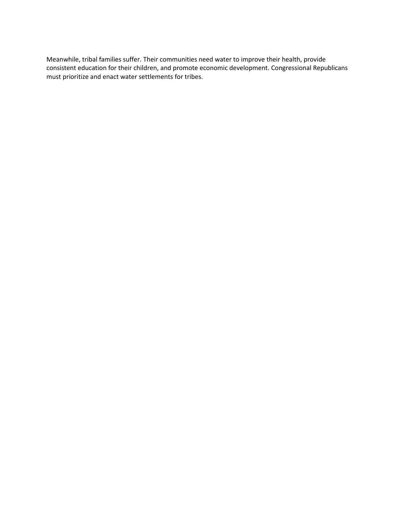Meanwhile, tribal families suffer. Their communities need water to improve their health, provide consistent education for their children, and promote economic development. Congressional Republicans must prioritize and enact water settlements for tribes.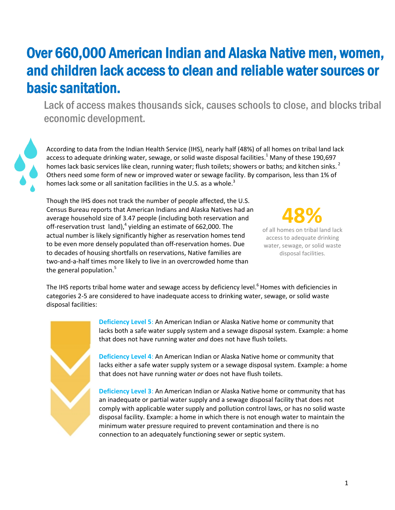### Over 660,000 American Indian and Alaska Native men, women, and children lack access to clean and reliable water sources or basic sanitation.

Lack of access makes thousands sick, causes schools to close, and blocks tribal economic development.

According to data from the Indian Health Service (IHS), nearly half (48%) of all homes on tribal land lack access to adequate drinking water, sewage, or solid waste disposal facilities.<sup>1</sup> Many of these 190,697 homes lack basic services like clean, running water; flush toilets; showers or baths; and kitchen sinks.<sup>2</sup> Others need some form of new or improved water or sewage facility. By comparison, less than 1% of homes lack some or all sanitation facilities in the U.S. as a whole.<sup>3</sup>

Though the IHS does not track the number of people affected, the U.S. Census Bureau reports that American Indians and Alaska Natives had an average household size of 3.47 people (including both reservation and off-reservation trust land),<sup>4</sup> yielding an estimate of 662,000. The actual number is likely significantly higher as reservation homes tend to be even more densely populated than off-reservation homes. Due to decades of housing shortfalls on reservations, Native families are two-and-a-half times more likely to live in an overcrowded home than the general population.<sup>5</sup>



of all homes on tribal land lack access to adequate drinking water, sewage, or solid waste disposal facilities.

The IHS reports tribal home water and sewage access by deficiency level.<sup>6</sup> Homes with deficiencies in categories 2-5 are considered to have inadequate access to drinking water, sewage, or solid waste disposal facilities:

**Deficiency Level 5**: An American Indian or Alaska Native home or community that lacks both a safe water supply system and a sewage disposal system. Example: a home that does not have running water *and* does not have flush toilets.

**Deficiency Level 4**: An American Indian or Alaska Native home or community that lacks either a safe water supply system or a sewage disposal system. Example: a home that does not have running water *or* does not have flush toilets.

**Deficiency Level 3**: An American Indian or Alaska Native home or community that has an inadequate or partial water supply and a sewage disposal facility that does not comply with applicable water supply and pollution control laws, or has no solid waste disposal facility. Example: a home in which there is not enough water to maintain the minimum water pressure required to prevent contamination and there is no connection to an adequately functioning sewer or septic system.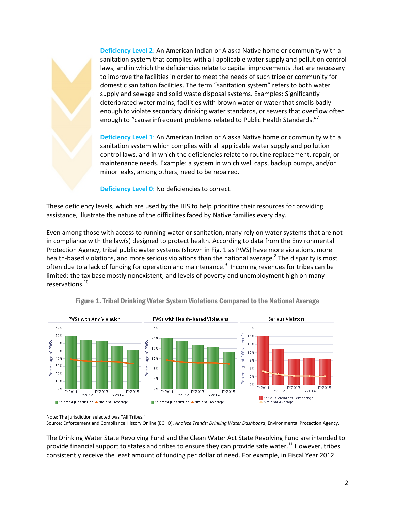**Deficiency Level 2**: An American Indian or Alaska Native home or community with a sanitation system that complies with all applicable water supply and pollution control laws, and in which the deficiencies relate to capital improvements that are necessary to improve the facilities in order to meet the needs of such tribe or community for domestic sanitation facilities. The term "sanitation system" refers to both water supply and sewage and solid waste disposal systems. Examples: Significantly deteriorated water mains, facilities with brown water or water that smells badly enough to violate secondary drinking water standards, or sewers that overflow often enough to "cause infrequent problems related to Public Health Standards."<sup>7</sup>

**Deficiency Level 1**: An American Indian or Alaska Native home or community with a sanitation system which complies with all applicable water supply and pollution control laws, and in which the deficiencies relate to routine replacement, repair, or maintenance needs. Example: a system in which well caps, backup pumps, and/or minor leaks, among others, need to be repaired.

**Deficiency Level 0**: No deficiencies to correct.

These deficiency levels, which are used by the IHS to help prioritize their resources for providing assistance, illustrate the nature of the difficilites faced by Native families every day.

Even among those with access to running water or sanitation, many rely on water systems that are not in compliance with the law(s) designed to protect health. According to data from the Environmental Protection Agency, tribal public water systems (shown in Fig. 1 as PWS) have more violations, more health-based violations, and more serious violations than the national average.<sup>8</sup> The disparity is most often due to a lack of funding for operation and maintenance.<sup>9</sup> Incoming revenues for tribes can be limited; the tax base mostly nonexistent; and levels of poverty and unemployment high on many reservations.<sup>10</sup>



Figure 1. Tribal Drinking Water System Violations Compared to the National Average

Note: The jurisdiction selected was "All Tribes."

Source: Enforcement and Compliance History Online (ECHO), *Analyze Trends: Drinking Water Dashboard*, Environmental Protection Agency.

The Drinking Water State Revolving Fund and the Clean Water Act State Revolving Fund are intended to provide financial support to states and tribes to ensure they can provide safe water.<sup>11</sup> However, tribes consistently receive the least amount of funding per dollar of need. For example, in Fiscal Year 2012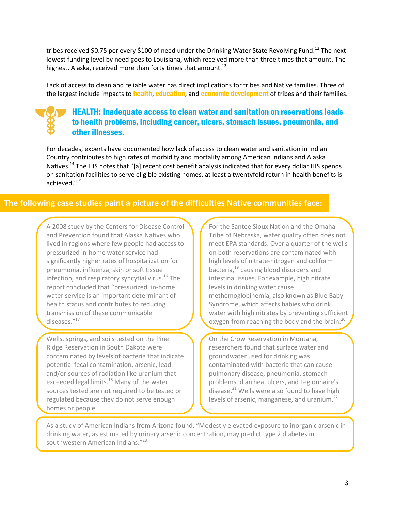tribes received \$0.75 per every \$100 of need under the Drinking Water State Revolving Fund.<sup>12</sup> The nextlowest funding level by need goes to Louisiana, which received more than three times that amount. The highest, Alaska, received more than forty times that amount.<sup>13</sup>

Lack of access to clean and reliable water has direct implications for tribes and Native families. Three of the largest include impacts to **health, education,** and **economic development** of tribes and their families.

### HEALTH: Inadequate access to clean water and sanitation on reservations leads to health problems, including cancer, ulcers, stomach issues, pneumonia, and other illnesses.

For decades, experts have documented how lack of access to clean water and sanitation in Indian Country contributes to high rates of morbidity and mortality among American Indians and Alaska Natives.<sup>14</sup> The IHS notes that "[a] recent cost benefit analysis indicated that for every dollar IHS spends on sanitation facilities to serve eligible existing homes, at least a twentyfold return in health benefits is achieved." 15

### **The following case studies paint a picture of the difficulties Native communities face:**

A 2008 study by the Centers for Disease Control and Prevention found that Alaska Natives who lived in regions where few people had access to pressurized in-home water service had significantly higher rates of hospitalization for pneumonia, influenza, skin or soft tissue infection, and respiratory syncytial virus. $^{16}$  The report concluded that "pressurized, in-home water service is an important determinant of health status and contributes to reducing transmission of these communicable diseases."<sup>17</sup>

Wells, springs, and soils tested on the Pine Ridge Reservation in South Dakota were contaminated by levels of bacteria that indicate potential fecal contamination, arsenic, lead and/or sources of radiation like uranium that exceeded legal limits.<sup>18</sup> Many of the water sources tested are not required to be tested or regulated because they do not serve enough homes or people.

For the Santee Sioux Nation and the Omaha Tribe of Nebraska, water quality often does not meet EPA standards. Over a quarter of the wells on both reservations are contaminated with high levels of nitrate-nitrogen and coliform bacteria,<sup>19</sup> causing blood disorders and intestinal issues. For example, high nitrate levels in drinking water cause methemoglobinemia, also known as Blue Baby Syndrome, which affects babies who drink water with high nitrates by preventing sufficient oxygen from reaching the body and the brain.<sup>20</sup> J

On the Crow Reservation in Montana, researchers found that surface water and groundwater used for drinking was contaminated with bacteria that can cause pulmonary disease, pneumonia, stomach problems, diarrhea, ulcers, and Legionnaire's disease. $^{21}$  Wells were also found to have high levels of arsenic, manganese, and uranium.<sup>22</sup>

As a study of American Indians from Arizona found, "Modestly elevated exposure to inorganic arsenic in drinking water, as estimated by urinary arsenic concentration, may predict type 2 diabetes in southwestern American Indians."<sup>23</sup>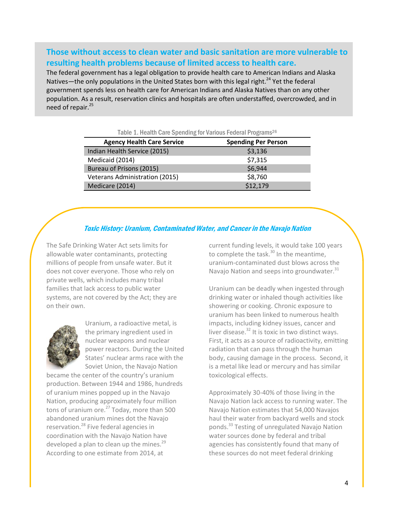### **Those without access to clean water and basic sanitation are more vulnerable to resulting health problems because of limited access to health care.**

The federal government has a legal obligation to provide health care to American Indians and Alaska Natives—the only populations in the United States born with this legal right.<sup>24</sup> Yet the federal government spends less on health care for American Indians and Alaska Natives than on any other population. As a result, reservation clinics and hospitals are often understaffed, overcrowded, and in need of repair.<sup>25</sup>

Table 1. Health Care Spending for Various Federal Programs<sup>26</sup>

| <b>Agency Health Care Service</b>     | <b>Spending Per Person</b> |
|---------------------------------------|----------------------------|
| Indian Health Service (2015)          | \$3,136                    |
| Medicaid (2014)                       | \$7,315                    |
| Bureau of Prisons (2015)              | \$6,944                    |
| <b>Veterans Administration (2015)</b> | \$8,760                    |
| Medicare (2014)                       | \$12,179                   |

### Toxic History: Uranium, Contaminated Water, and Cancer in the Navajo Nation

The Safe Drinking Water Act sets limits for allowable water contaminants, protecting millions of people from unsafe water. But it does not cover everyone. Those who rely on private wells, which includes many tribal families that lack access to public water systems, are not covered by the Act; they are on their own.



Uranium, a radioactive metal, is the primary ingredient used in nuclear weapons and nuclear power reactors. During the United States' nuclear arms race with the Soviet Union, the Navajo Nation

became the center of the country's uranium production. Between 1944 and 1986, hundreds of uranium mines popped up in the Navajo Nation, producing approximately four million tons of uranium ore.<sup>27</sup> Today, more than 500 abandoned uranium mines dot the Navajo reservation.<sup>28</sup> Five federal agencies in coordination with the Navajo Nation have developed a plan to clean up the mines. $29$ According to one estimate from 2014, at

current funding levels, it would take 100 years to complete the task. $30$  In the meantime, uranium-contaminated dust blows across the Navajo Nation and seeps into groundwater.<sup>31</sup>

Uranium can be deadly when ingested through drinking water or inhaled though activities like showering or cooking. Chronic exposure to uranium has been linked to numerous health impacts, including kidney issues, cancer and liver disease. <sup>32</sup> It is toxic in two distinct ways. First, it acts as a source of radioactivity, emitting radiation that can pass through the human body, causing damage in the process. Second, it is a metal like lead or mercury and has similar toxicological effects.

Approximately 30-40% of those living in the Navajo Nation lack access to running water. The Navajo Nation estimates that 54,000 Navajos haul their water from backyard wells and stock ponds.<sup>33</sup> Testing of unregulated Navajo Nation water sources done by federal and tribal agencies has consistently found that many of these sources do not meet federal drinking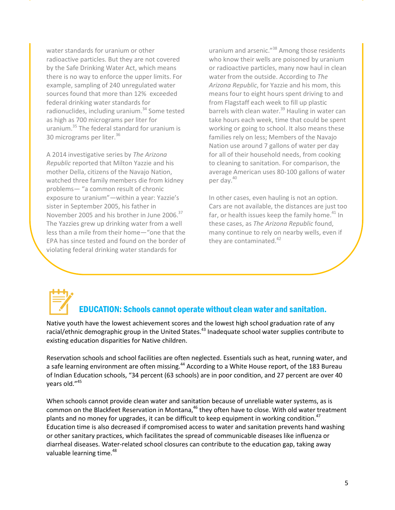water standards for uranium or other radioactive particles. But they are not covered by the Safe Drinking Water Act, which means there is no way to enforce the upper limits. For example, sampling of 240 unregulated water sources found that more than 12% exceeded federal drinking water standards for radionuclides, including uranium.<sup>34</sup> Some tested as high as 700 micrograms per liter for uranium.<sup>35</sup> The federal standard for uranium is 30 micrograms per liter.<sup>36</sup>

A 2014 investigative series by *The Arizona Republic* reported that Milton Yazzie and his mother Della, citizens of the Navajo Nation, watched three family members die from kidney problems— "a common result of chronic exposure to uranium"—within a year: Yazzie's sister in September 2005, his father in November 2005 and his brother in June 2006.<sup>37</sup> The Yazzies grew up drinking water from a well less than a mile from their home—"one that the EPA has since tested and found on the border of violating federal drinking water standards for

uranium and arsenic."<sup>38</sup> Among those residents who know their wells are poisoned by uranium or radioactive particles, many now haul in clean water from the outside. According to *The Arizona Republic*, for Yazzie and his mom, this means four to eight hours spent driving to and from Flagstaff each week to fill up plastic barrels with clean water.<sup>39</sup> Hauling in water can take hours each week, time that could be spent working or going to school. It also means these families rely on less; Members of the Navajo Nation use around 7 gallons of water per day for all of their household needs, from cooking to cleaning to sanitation. For comparison, the average American uses 80-100 gallons of water per day.<sup>40</sup>

In other cases, even hauling is not an option. Cars are not available, the distances are just too far, or health issues keep the family home. $41$  In these cases, as *The Arizona Republic* found, many continue to rely on nearby wells, even if they are contaminated.<sup>42</sup>

# EDUCATION: Schools cannot operate without clean water and sanitation.

Native youth have the lowest achievement scores and the lowest high school graduation rate of any racial/ethnic demographic group in the United States.<sup>43</sup> Inadequate school water supplies contribute to existing education disparities for Native children.

Reservation schools and school facilities are often neglected. Essentials such as heat, running water, and a safe learning environment are often missing.<sup>44</sup> According to a White House report, of the 183 Bureau of Indian Education schools, "34 percent (63 schools) are in poor condition, and 27 percent are over 40 years old."<sup>45</sup>

When schools cannot provide clean water and sanitation because of unreliable water systems, as is common on the Blackfeet Reservation in Montana,<sup>46</sup> they often have to close. With old water treatment plants and no money for upgrades, it can be difficult to keep equipment in working condition.<sup>47</sup> Education time is also decreased if compromised access to water and sanitation prevents hand washing or other sanitary practices, which facilitates the spread of communicable diseases like influenza or diarrheal diseases. Water-related school closures can contribute to the education gap, taking away valuable learning time.<sup>48</sup>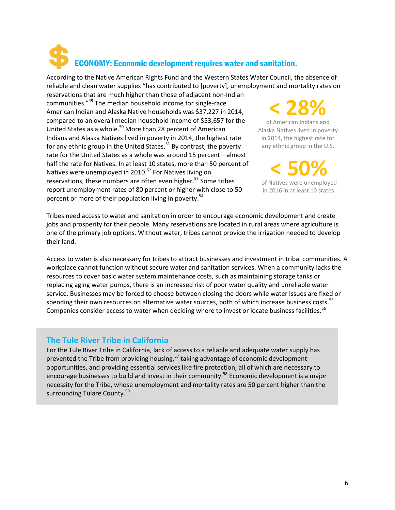## ECONOMY: Economic development requires water and sanitation.

According to the Native American Rights Fund and the Western States Water Council, the absence of reliable and clean water supplies "has contributed to [poverty], unemployment and mortality rates on

reservations that are much higher than those of adjacent non-Indian communities."<sup>49</sup> The median household income for single-race American Indian and Alaska Native households was \$37,227 in 2014, compared to an overall median household income of \$53,657 for the United States as a whole.<sup>50</sup> More than 28 percent of American Indians and Alaska Natives lived in poverty in 2014, the highest rate for any ethnic group in the United States. $51$  By contrast, the poverty rate for the United States as a whole was around 15 percent—almost half the rate for Natives. In at least 10 states, more than 50 percent of Natives were unemployed in 2010.<sup>52</sup> For Natives living on reservations, these numbers are often even higher.<sup>53</sup> Some tribes report unemployment rates of 80 percent or higher with close to 50 percent or more of their population living in poverty.<sup>54</sup>

**< 28%**

of American Indians and Alaska Natives lived in poverty in 2014, the highest rate for any ethnic group in the U.S.

**< 50%**

of Natives were unemployed in 2016 in at least 10 states.

Tribes need access to water and sanitation in order to encourage economic development and create jobs and prosperity for their people. Many reservations are located in rural areas where agriculture is one of the primary job options. Without water, tribes cannot provide the irrigation needed to develop their land.

Access to water is also necessary for tribes to attract businesses and investment in tribal communities. A workplace cannot function without secure water and sanitation services. When a community lacks the resources to cover basic water system maintenance costs, such as maintaining storage tanks or replacing aging water pumps, there is an increased risk of poor water quality and unreliable water service. Businesses may be forced to choose between closing the doors while water issues are fixed or spending their own resources on alternative water sources, both of which increase business costs.<sup>55</sup> Companies consider access to water when deciding where to invest or locate business facilities.<sup>56</sup>

### **The Tule River Tribe in California**

For the Tule River Tribe in California, lack of access to a reliable and adequate water supply has prevented the Tribe from providing housing,<sup>57</sup> taking advantage of economic development opportunities, and providing essential services like fire protection, all of which are necessary to encourage businesses to build and invest in their community.<sup>58</sup> Economic development is a major necessity for the Tribe, whose unemployment and mortality rates are 50 percent higher than the surrounding Tulare County.<sup>59</sup>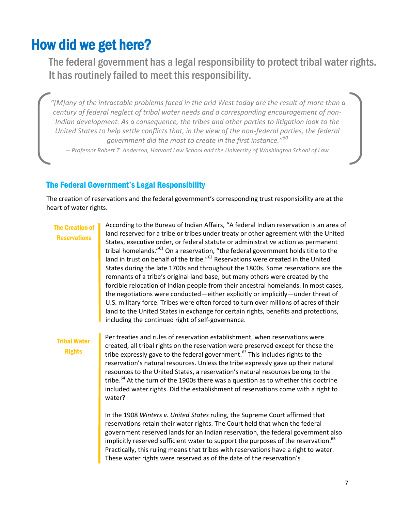### How did we get here?

The federal government has a legal responsibility to protect tribal water rights. It has routinely failed to meet this responsibility.

*"[M]any of the intractable problems faced in the arid West today are the result of more than a century of federal neglect of tribal water needs and a corresponding encouragement of non-Indian development. As a consequence, the tribes and other parties to litigation look to the United States to help settle conflicts that, in the view of the non-federal parties, the federal government did the most to create in the first instance."<sup>60</sup>*

*– Professor Robert T. Anderson, Harvard Law School and the University of Washington School of Law*

### The Federal Government's Legal Responsibility

The creation of reservations and the federal government's corresponding trust responsibility are at the heart of water rights.

### The Creation of **Reservations**

According to the Bureau of Indian Affairs, "A federal Indian reservation is an area of land reserved for a tribe or tribes under treaty or other agreement with the United States, executive order, or federal statute or administrative action as permanent tribal homelands."<sup>61</sup> On a reservation, "the federal government holds title to the land in trust on behalf of the tribe."<sup>62</sup> Reservations were created in the United States during the late 1700s and throughout the 1800s. Some reservations are the remnants of a tribe's original land base, but many others were created by the forcible relocation of Indian people from their ancestral homelands. In most cases, the negotiations were conducted—either explicitly or implicitly—under threat of U.S. military force. Tribes were often forced to turn over millions of acres of their land to the United States in exchange for certain rights, benefits and protections, including the continued right of self-governance.

### Tribal Water Rights

Per treaties and rules of reservation establishment, when reservations were created, all tribal rights on the reservation were preserved except for those the tribe expressly gave to the federal government. $^{63}$  This includes rights to the reservation's natural resources. Unless the tribe expressly gave up their natural resources to the United States, a reservation's natural resources belong to the tribe.<sup>64</sup> At the turn of the 1900s there was a question as to whether this doctrine included water rights. Did the establishment of reservations come with a right to water?

In the 1908 *Winters v. United States* ruling, the Supreme Court affirmed that reservations retain their water rights. The Court held that when the federal government reserved lands for an Indian reservation, the federal government also implicitly reserved sufficient water to support the purposes of the reservation.<sup>65</sup> Practically, this ruling means that tribes with reservations have a right to water. These water rights were reserved as of the date of the reservation's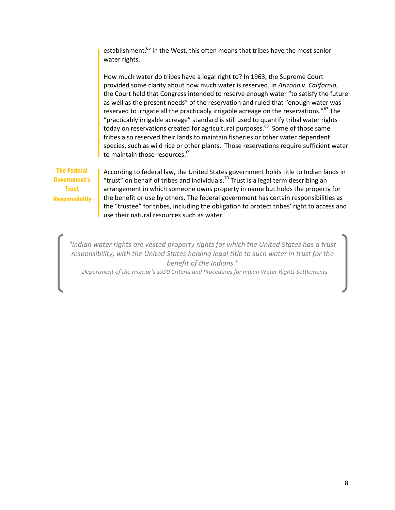establishment.<sup>66</sup> In the West, this often means that tribes have the most senior water rights.

How much water do tribes have a legal right to? In 1963, the Supreme Court provided some clarity about how much water is reserved. In *Arizona v. California*, the Court held that Congress intended to reserve enough water "to satisfy the future as well as the present needs" of the reservation and ruled that "enough water was reserved to irrigate all the practicably irrigable acreage on the reservations."<sup>67</sup> The "practicably irrigable acreage" standard is still used to quantify tribal water rights today on reservations created for agricultural purposes.<sup>68</sup> Some of those same tribes also reserved their lands to maintain fisheries or other water dependent species, such as wild rice or other plants. Those reservations require sufficient water to maintain those resources.<sup>69</sup>

The Federal Government's **Trust Responsibility** 

According to federal law, the United States government holds title to Indian lands in "trust" on behalf of tribes and individuals.<sup>70</sup> Trust is a legal term describing an arrangement in which someone owns property in name but holds the property for the benefit or use by others. The federal government has certain responsibilities as the "trustee" for tribes, including the obligation to protect tribes' right to access and use their natural resources such as water.

*"Indian water rights are vested property rights for which the United States has a trust responsibility, with the United States holding legal title to such water in trust for the benefit of the Indians."* 

*– Department of the Interior's 1990 Criteria and Procedures for Indian Water Rights Settlements*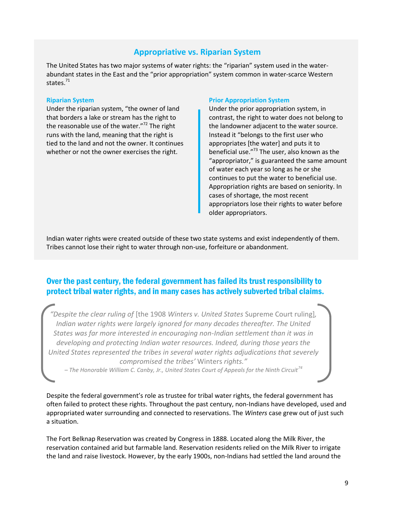### **Appropriative vs. Riparian System**

The United States has two major systems of water rights: the "riparian" system used in the waterabundant states in the East and the "prior appropriation" system common in water-scarce Western states. 71

#### **Riparian System**

Under the riparian system, "the owner of land that borders a lake or stream has the right to the reasonable use of the water."<sup>72</sup> The right runs with the land, meaning that the right is tied to the land and not the owner. It continues whether or not the owner exercises the right.

#### **Prior Appropriation System**

Under the prior appropriation system, in contrast, the right to water does not belong to the landowner adjacent to the water source. Instead it "belongs to the first user who appropriates [the water] and puts it to beneficial use."<sup>73</sup> The user, also known as the "appropriator," is guaranteed the same amount of water each year so long as he or she continues to put the water to beneficial use. Appropriation rights are based on seniority. In cases of shortage, the most recent appropriators lose their rights to water before older appropriators.

Indian water rights were created outside of these two state systems and exist independently of them. Tribes cannot lose their right to water through non-use, forfeiture or abandonment.

### Over the past century, the federal government has failed its trust responsibility to protect tribal water rights, and in many cases has actively subverted tribal claims.

*"Despite the clear ruling of* [the 1908 *Winters v. United States* Supreme Court ruling]*, Indian water rights were largely ignored for many decades thereafter. The United States was far more interested in encouraging non-Indian settlement than it was in developing and protecting Indian water resources. Indeed, during those years the United States represented the tribes in several water rights adjudications that severely compromised the tribes'* Winters *rights."*

*– The Honorable William C. Canby, Jr., United States Court of Appeals for the Ninth Circuit<sup>74</sup>*

Despite the federal government's role as trustee for tribal water rights, the federal government has often failed to protect these rights. Throughout the past century, non-Indians have developed, used and appropriated water surrounding and connected to reservations. The *Winters* case grew out of just such a situation.

The Fort Belknap Reservation was created by Congress in 1888. Located along the Milk River, the reservation contained arid but farmable land. Reservation residents relied on the Milk River to irrigate the land and raise livestock. However, by the early 1900s, non-Indians had settled the land around the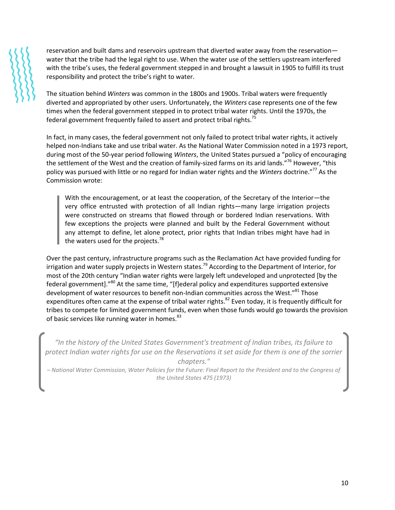reservation and built dams and reservoirs upstream that diverted water away from the reservation water that the tribe had the legal right to use. When the water use of the settlers upstream interfered with the tribe's uses, the federal government stepped in and brought a lawsuit in 1905 to fulfill its trust responsibility and protect the tribe's right to water.

The situation behind *Winters* was common in the 1800s and 1900s. Tribal waters were frequently diverted and appropriated by other users. Unfortunately, the *Winters* case represents one of the few times when the federal government stepped in to protect tribal water rights. Until the 1970s, the federal government frequently failed to assert and protect tribal rights.<sup>75</sup>

In fact, in many cases, the federal government not only failed to protect tribal water rights, it actively helped non-Indians take and use tribal water. As the National Water Commission noted in a 1973 report, during most of the 50-year period following *Winters*, the United States pursued a "policy of encouraging the settlement of the West and the creation of family-sized farms on its arid lands."<sup>76</sup> However, "this policy was pursued with little or no regard for Indian water rights and the *Winters* doctrine."<sup>77</sup> As the Commission wrote:

With the encouragement, or at least the cooperation, of the Secretary of the Interior—the very office entrusted with protection of all Indian rights—many large irrigation projects were constructed on streams that flowed through or bordered Indian reservations. With few exceptions the projects were planned and built by the Federal Government without any attempt to define, let alone protect, prior rights that Indian tribes might have had in the waters used for the projects.<sup>78</sup>

Over the past century, infrastructure programs such as the Reclamation Act have provided funding for irrigation and water supply projects in Western states.<sup>79</sup> According to the Department of Interior, for most of the 20th century "Indian water rights were largely left undeveloped and unprotected [by the federal government]."<sup>80</sup> At the same time, "[f]ederal policy and expenditures supported extensive development of water resources to benefit non-Indian communities across the West."<sup>81</sup> Those expenditures often came at the expense of tribal water rights.<sup>82</sup> Even today, it is frequently difficult for tribes to compete for limited government funds, even when those funds would go towards the provision of basic services like running water in homes.<sup>83</sup>

*"In the history of the United States Government's treatment of Indian tribes, its failure to protect Indian water rights for use on the Reservations it set aside for them is one of the sorrier chapters." – National Water Commission, Water Policies for the Future: Final Report to the President and to the Congress of the United States 475 (1973)*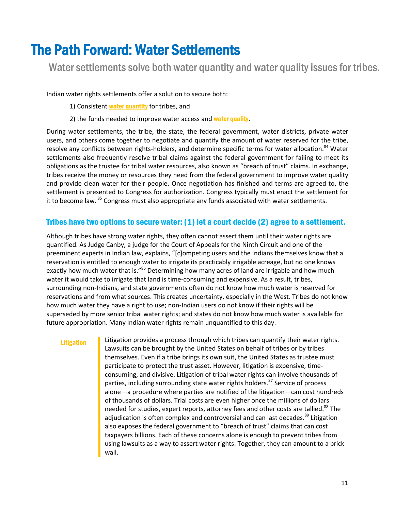### The Path Forward: Water Settlements

Water settlements solve both water quantity and water quality issues for tribes.

Indian water rights settlements offer a solution to secure both:

1) Consistent water quantity for tribes, and

2) the funds needed to improve water access and water quality.

During water settlements, the tribe, the state, the federal government, water districts, private water users, and others come together to negotiate and quantify the amount of water reserved for the tribe, resolve any conflicts between rights-holders, and determine specific terms for water allocation.<sup>84</sup> Water settlements also frequently resolve tribal claims against the federal government for failing to meet its obligations as the trustee for tribal water resources, also known as "breach of trust" claims. In exchange, tribes receive the money or resources they need from the federal government to improve water quality and provide clean water for their people. Once negotiation has finished and terms are agreed to, the settlement is presented to Congress for authorization. Congress typically must enact the settlement for it to become law. <sup>85</sup> Congress must also appropriate any funds associated with water settlements.

### Tribes have two options to secure water: (1) let a court decide (2) agree to a settlement.

Although tribes have strong water rights, they often cannot assert them until their water rights are quantified. As Judge Canby, a judge for the Court of Appeals for the Ninth Circuit and one of the preeminent experts in Indian law, explains, "[c]ompeting users and the Indians themselves know that a reservation is entitled to enough water to irrigate its practicably irrigable acreage, but no one knows exactly how much water that is."<sup>86</sup> Determining how many acres of land are irrigable and how much water it would take to irrigate that land is time-consuming and expensive. As a result, tribes, surrounding non-Indians, and state governments often do not know how much water is reserved for reservations and from what sources. This creates uncertainty, especially in the West. Tribes do not know how much water they have a right to use; non-Indian users do not know if their rights will be superseded by more senior tribal water rights; and states do not know how much water is available for future appropriation. Many Indian water rights remain unquantified to this day.

#### Litigation

Litigation provides a process through which tribes can quantify their water rights. Lawsuits can be brought by the United States on behalf of tribes or by tribes themselves. Even if a tribe brings its own suit, the United States as trustee must participate to protect the trust asset. However, litigation is expensive, timeconsuming, and divisive. Litigation of tribal water rights can involve thousands of parties, including surrounding state water rights holders.<sup>87</sup> Service of process alone—a procedure where parties are notified of the litigation—can cost hundreds of thousands of dollars. Trial costs are even higher once the millions of dollars needed for studies, expert reports, attorney fees and other costs are tallied.<sup>88</sup> The adjudication is often complex and controversial and can last decades.<sup>89</sup> Litigation also exposes the federal government to "breach of trust" claims that can cost taxpayers billions. Each of these concerns alone is enough to prevent tribes from using lawsuits as a way to assert water rights. Together, they can amount to a brick wall.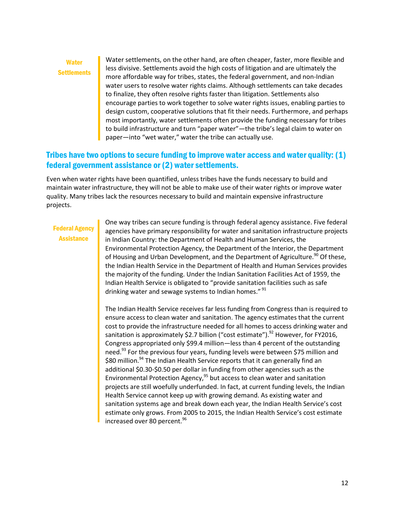### **Water Settlements**

Water settlements, on the other hand, are often cheaper, faster, more flexible and less divisive. Settlements avoid the high costs of litigation and are ultimately the more affordable way for tribes, states, the federal government, and non-Indian water users to resolve water rights claims. Although settlements can take decades to finalize, they often resolve rights faster than litigation. Settlements also encourage parties to work together to solve water rights issues, enabling parties to design custom, cooperative solutions that fit their needs. Furthermore, and perhaps most importantly, water settlements often provide the funding necessary for tribes to build infrastructure and turn "paper water"—the tribe's legal claim to water on paper—into "wet water," water the tribe can actually use.

### Tribes have two options to secure funding to improve water access and water quality: (1) federal government assistance or (2) water settlements.

Even when water rights have been quantified, unless tribes have the funds necessary to build and maintain water infrastructure, they will not be able to make use of their water rights or improve water quality. Many tribes lack the resources necessary to build and maintain expensive infrastructure projects.

### Federal Agency **Assistance**

One way tribes can secure funding is through federal agency assistance. Five federal agencies have primary responsibility for water and sanitation infrastructure projects in Indian Country: the Department of Health and Human Services, the Environmental Protection Agency, the Department of the Interior, the Department of Housing and Urban Development, and the Department of Agriculture.<sup>90</sup> Of these, the Indian Health Service in the Department of Health and Human Services provides the majority of the funding. Under the Indian Sanitation Facilities Act of 1959, the Indian Health Service is obligated to "provide sanitation facilities such as safe drinking water and sewage systems to Indian homes." <sup>91</sup>

The Indian Health Service receives far less funding from Congress than is required to ensure access to clean water and sanitation. The agency estimates that the current cost to provide the infrastructure needed for all homes to access drinking water and sanitation is approximately \$2.7 billion ("cost estimate").<sup>92</sup> However, for FY2016, Congress appropriated only \$99.4 million—less than 4 percent of the outstanding need. $^{93}$  For the previous four years, funding levels were between \$75 million and \$80 million.<sup>94</sup> The Indian Health Service reports that it can generally find an additional \$0.30-\$0.50 per dollar in funding from other agencies such as the Environmental Protection Agency, $95$  but access to clean water and sanitation projects are still woefully underfunded. In fact, at current funding levels, the Indian Health Service cannot keep up with growing demand. As existing water and sanitation systems age and break down each year, the Indian Health Service's cost estimate only grows. From 2005 to 2015, the Indian Health Service's cost estimate increased over 80 percent.<sup>96</sup>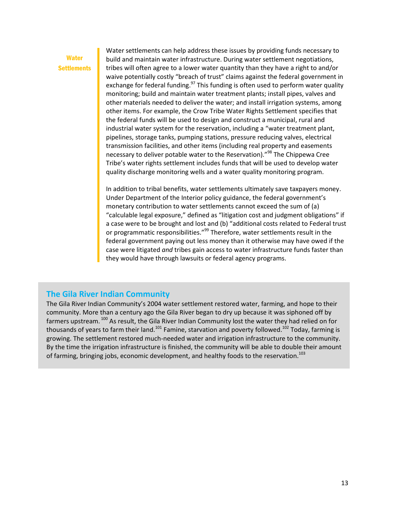### **Water Settlements**

Water settlements can help address these issues by providing funds necessary to build and maintain water infrastructure. During water settlement negotiations, tribes will often agree to a lower water quantity than they have a right to and/or waive potentially costly "breach of trust" claims against the federal government in exchange for federal funding.<sup>97</sup> This funding is often used to perform water quality monitoring; build and maintain water treatment plants; install pipes, valves and other materials needed to deliver the water; and install irrigation systems, among other items. For example, the Crow Tribe Water Rights Settlement specifies that the federal funds will be used to design and construct a municipal, rural and industrial water system for the reservation, including a "water treatment plant, pipelines, storage tanks, pumping stations, pressure reducing valves, electrical transmission facilities, and other items (including real property and easements necessary to deliver potable water to the Reservation)."<sup>98</sup> The Chippewa Cree Tribe's water rights settlement includes funds that will be used to develop water quality discharge monitoring wells and a water quality monitoring program.

In addition to tribal benefits, water settlements ultimately save taxpayers money. Under Department of the Interior policy guidance, the federal government's monetary contribution to water settlements cannot exceed the sum of (a) "calculable legal exposure," defined as "litigation cost and judgment obligations" if a case were to be brought and lost and (b) "additional costs related to Federal trust or programmatic responsibilities."<sup>99</sup> Therefore, water settlements result in the federal government paying out less money than it otherwise may have owed if the case were litigated *and* tribes gain access to water infrastructure funds faster than they would have through lawsuits or federal agency programs.

### **The Gila River Indian Community**

The Gila River Indian Community's 2004 water settlement restored water, farming, and hope to their community. More than a century ago the Gila River began to dry up because it was siphoned off by farmers upstream. <sup>100</sup> As result, the Gila River Indian Community lost the water they had relied on for thousands of years to farm their land.<sup>101</sup> Famine, starvation and poverty followed.<sup>102</sup> Today, farming is growing. The settlement restored much-needed water and irrigation infrastructure to the community. By the time the irrigation infrastructure is finished, the community will be able to double their amount of farming, bringing jobs, economic development, and healthy foods to the reservation.<sup>103</sup>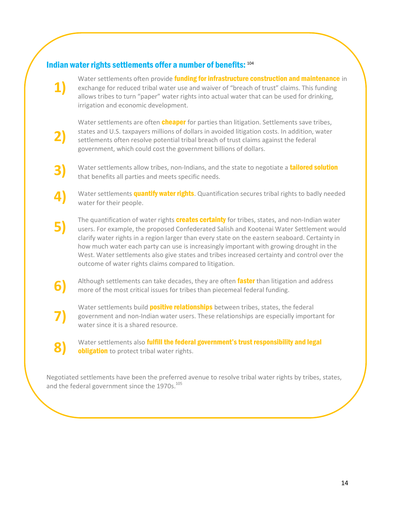### Indian water rights settlements offer a number of benefits: <sup>104</sup>

**1)**

**2)**

**4)**

**7)**

**8)**

Water settlements often provide funding for infrastructure construction and maintenance in exchange for reduced tribal water use and waiver of "breach of trust" claims. This funding allows tribes to turn "paper" water rights into actual water that can be used for drinking, irrigation and economic development.

Water settlements are often **cheaper** for parties than litigation. Settlements save tribes, states and U.S. taxpayers millions of dollars in avoided litigation costs. In addition, water settlements often resolve potential tribal breach of trust claims against the federal government, which could cost the government billions of dollars.

- **3)** Water settlements allow tribes, non-Indians, and the state to negotiate a **tailored solution** that benefits all parties and meets specific needs.
	- Water settlements **quantify water rights**. Quantification secures tribal rights to badly needed water for their people.
- **5)** The quantification of water rights **creates certainty** for tribes, states, and non-Indian water users. For example, the proposed Confederated Salish and Kootenai Water Settlement would clarify water rights in a region larger than every state on the eastern seaboard. Certainty in how much water each party can use is increasingly important with growing drought in the West. Water settlements also give states and tribes increased certainty and control over the outcome of water rights claims compared to litigation.
- **6)** Although settlements can take decades, they are often **faster** than litigation and address more of the most critical issues for tribes than piecemeal federal funding.
	- Water settlements build **positive relationships** between tribes, states, the federal government and non-Indian water users. These relationships are especially important for water since it is a shared resource.

Water settlements also fulfill the federal government's trust responsibility and legal **obligation** to protect tribal water rights.

Negotiated settlements have been the preferred avenue to resolve tribal water rights by tribes, states, and the federal government since the 1970s.<sup>105</sup>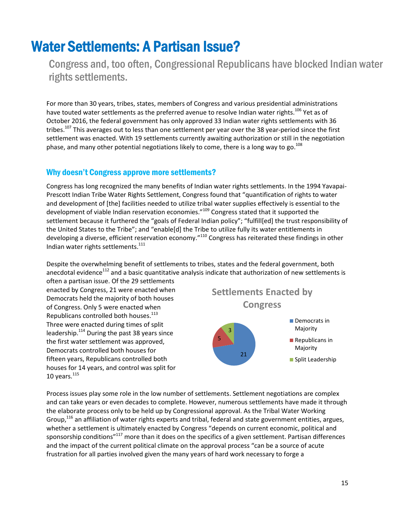### Water Settlements: A Partisan Issue?

Congress and, too often, Congressional Republicans have blocked Indian water rights settlements.

For more than 30 years, tribes, states, members of Congress and various presidential administrations have touted water settlements as the preferred avenue to resolve Indian water rights.<sup>106</sup> Yet as of October 2016, the federal government has only approved 33 Indian water rights settlements with 36 tribes.<sup>107</sup> This averages out to less than one settlement per year over the 38 year-period since the first settlement was enacted. With 19 settlements currently awaiting authorization or still in the negotiation phase, and many other potential negotiations likely to come, there is a long way to go.<sup>108</sup>

### Why doesn't Congress approve more settlements?

Congress has long recognized the many benefits of Indian water rights settlements. In the 1994 Yavapai-Prescott Indian Tribe Water Rights Settlement, Congress found that "quantification of rights to water and development of [the] facilities needed to utilize tribal water supplies effectively is essential to the development of viable Indian reservation economies."<sup>109</sup> Congress stated that it supported the settlement because it furthered the "goals of Federal Indian policy"; "fulfill[ed] the trust responsibility of the United States to the Tribe"; and "enable[d] the Tribe to utilize fully its water entitlements in developing a diverse, efficient reservation economy."<sup>110</sup> Congress has reiterated these findings in other Indian water rights settlements. $111$ 

Despite the overwhelming benefit of settlements to tribes, states and the federal government, both anecdotal evidence<sup>112</sup> and a basic quantitative analysis indicate that authorization of new settlements is

often a partisan issue. Of the 29 settlements enacted by Congress, 21 were enacted when Democrats held the majority of both houses of Congress. Only 5 were enacted when Republicans controlled both houses.<sup>113</sup> Three were enacted during times of split leadership.<sup>114</sup> During the past 38 years since the first water settlement was approved, Democrats controlled both houses for fifteen years, Republicans controlled both houses for 14 years, and control was split for 10 years. $115$ 



Process issues play some role in the low number of settlements. Settlement negotiations are complex and can take years or even decades to complete. However, numerous settlements have made it through the elaborate process only to be held up by Congressional approval. As the Tribal Water Working Group,<sup>116</sup> an affiliation of water rights experts and tribal, federal and state government entities, argues, whether a settlement is ultimately enacted by Congress "depends on current economic, political and sponsorship conditions"<sup>117</sup> more than it does on the specifics of a given settlement. Partisan differences and the impact of the current political climate on the approval process "can be a source of acute frustration for all parties involved given the many years of hard work necessary to forge a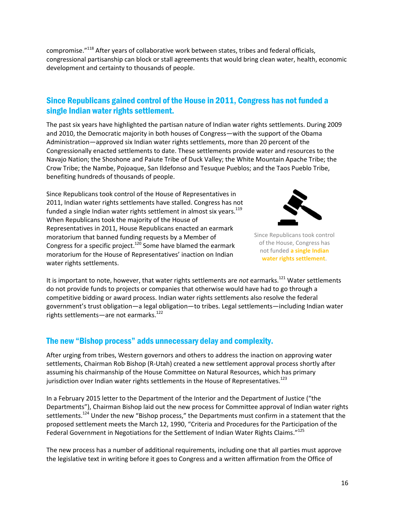compromise."<sup>118</sup> After years of collaborative work between states, tribes and federal officials, congressional partisanship can block or stall agreements that would bring clean water, health, economic development and certainty to thousands of people.

### Since Republicans gained control of the House in 2011, Congress has not funded a single Indian water rights settlement.

The past six years have highlighted the partisan nature of Indian water rights settlements. During 2009 and 2010, the Democratic majority in both houses of Congress—with the support of the Obama Administration—approved six Indian water rights settlements, more than 20 percent of the Congressionally enacted settlements to date. These settlements provide water and resources to the Navajo Nation; the Shoshone and Paiute Tribe of Duck Valley; the White Mountain Apache Tribe; the Crow Tribe; the Nambe, Pojoaque, San Ildefonso and Tesuque Pueblos; and the Taos Pueblo Tribe, benefiting hundreds of thousands of people.

Since Republicans took control of the House of Representatives in 2011, Indian water rights settlements have stalled. Congress has not funded a single Indian water rights settlement in almost six years.<sup>119</sup> When Republicans took the majority of the House of Representatives in 2011, House Republicans enacted an earmark moratorium that banned funding requests by a Member of Congress for a specific project.<sup>120</sup> Some have blamed the earmark moratorium for the House of Representatives' inaction on Indian water rights settlements.



Since Republicans took control of the House, Congress has not funded **a single Indian water rights settlement**.

It is important to note, however, that water rights settlements are *not* earmarks.<sup>121</sup> Water settlements do not provide funds to projects or companies that otherwise would have had to go through a competitive bidding or award process. Indian water rights settlements also resolve the federal government's trust obligation—a legal obligation—to tribes. Legal settlements—including Indian water rights settlements—are not earmarks.<sup>122</sup>

### The new "Bishop process" adds unnecessary delay and complexity.

After urging from tribes, Western governors and others to address the inaction on approving water settlements, Chairman Rob Bishop (R-Utah) created a new settlement approval process shortly after assuming his chairmanship of the House Committee on Natural Resources, which has primary jurisdiction over Indian water rights settlements in the House of Representatives.<sup>123</sup>

In a February 2015 letter to the Department of the Interior and the Department of Justice ("the Departments"), Chairman Bishop laid out the new process for Committee approval of Indian water rights settlements.<sup>124</sup> Under the new "Bishop process," the Departments must confirm in a statement that the proposed settlement meets the March 12, 1990, "Criteria and Procedures for the Participation of the Federal Government in Negotiations for the Settlement of Indian Water Rights Claims."<sup>125</sup>

The new process has a number of additional requirements, including one that all parties must approve the legislative text in writing before it goes to Congress and a written affirmation from the Office of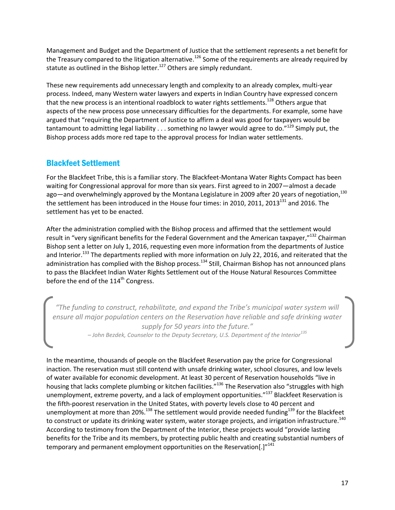Management and Budget and the Department of Justice that the settlement represents a net benefit for the Treasury compared to the litigation alternative.<sup>126</sup> Some of the requirements are already required by statute as outlined in the Bishop letter.<sup>127</sup> Others are simply redundant.

These new requirements add unnecessary length and complexity to an already complex, multi-year process. Indeed, many Western water lawyers and experts in Indian Country have expressed concern that the new process is an intentional roadblock to water rights settlements.<sup>128</sup> Others argue that aspects of the new process pose unnecessary difficulties for the departments. For example, some have argued that "requiring the Department of Justice to affirm a deal was good for taxpayers would be tantamount to admitting legal liability  $\dots$  something no lawyer would agree to do."<sup>129</sup> Simply put, the Bishop process adds more red tape to the approval process for Indian water settlements.

### Blackfeet Settlement

For the Blackfeet Tribe, this is a familiar story. The Blackfeet-Montana Water Rights Compact has been waiting for Congressional approval for more than six years. First agreed to in 2007—almost a decade ago—and overwhelmingly approved by the Montana Legislature in 2009 after 20 years of negotiation,<sup>130</sup> the settlement has been introduced in the House four times: in 2010, 2011, 2013<sup>131</sup> and 2016. The settlement has yet to be enacted.

After the administration complied with the Bishop process and affirmed that the settlement would result in "very significant benefits for the Federal Government and the American taxpayer,"<sup>132</sup> Chairman Bishop sent a letter on July 1, 2016, requesting even more information from the departments of Justice and Interior.<sup>133</sup> The departments replied with more information on July 22, 2016, and reiterated that the administration has complied with the Bishop process.<sup>134</sup> Still, Chairman Bishop has not announced plans to pass the Blackfeet Indian Water Rights Settlement out of the House Natural Resources Committee before the end of the 114<sup>th</sup> Congress.

*"The funding to construct, rehabilitate, and expand the Tribe's municipal water system will ensure all major population centers on the Reservation have reliable and safe drinking water supply for 50 years into the future." – John Bezdek, Counselor to the Deputy Secretary, U.S. Department of the Interior<sup>135</sup>*

In the meantime, thousands of people on the Blackfeet Reservation pay the price for Congressional inaction. The reservation must still contend with unsafe drinking water, school closures, and low levels of water available for economic development. At least 30 percent of Reservation households "live in housing that lacks complete plumbing or kitchen facilities."<sup>136</sup> The Reservation also "struggles with high unemployment, extreme poverty, and a lack of employment opportunities."<sup>137</sup> Blackfeet Reservation is the fifth-poorest reservation in the United States, with poverty levels close to 40 percent and unemployment at more than 20%.<sup>138</sup> The settlement would provide needed funding<sup>139</sup> for the Blackfeet to construct or update its drinking water system, water storage projects, and irrigation infrastructure.<sup>140</sup> According to testimony from the Department of the Interior, these projects would "provide lasting benefits for the Tribe and its members, by protecting public health and creating substantial numbers of temporary and permanent employment opportunities on the Reservation[.]"<sup>141</sup>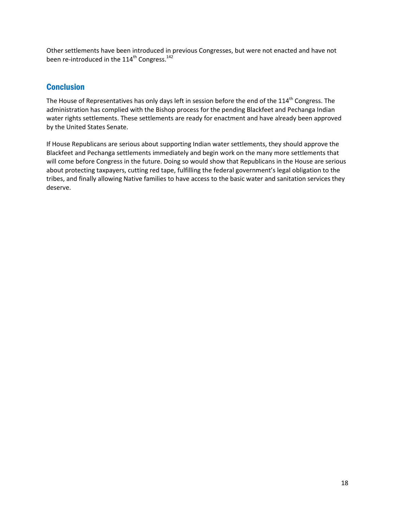Other settlements have been introduced in previous Congresses, but were not enacted and have not been re-introduced in the 114<sup>th</sup> Congress.<sup>142</sup>

### **Conclusion**

The House of Representatives has only days left in session before the end of the 114<sup>th</sup> Congress. The administration has complied with the Bishop process for the pending Blackfeet and Pechanga Indian water rights settlements. These settlements are ready for enactment and have already been approved by the United States Senate.

If House Republicans are serious about supporting Indian water settlements, they should approve the Blackfeet and Pechanga settlements immediately and begin work on the many more settlements that will come before Congress in the future. Doing so would show that Republicans in the House are serious about protecting taxpayers, cutting red tape, fulfilling the federal government's legal obligation to the tribes, and finally allowing Native families to have access to the basic water and sanitation services they deserve.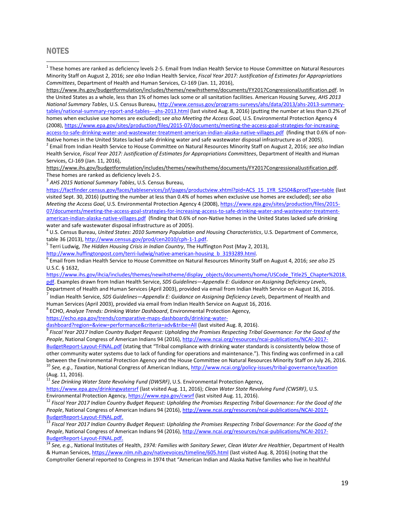#### **NOTES**

 $\overline{a}$ 

 $^1$  These homes are ranked as deficiency levels 2-5. Email from Indian Health Service to House Committee on Natural Resources Minority Staff on August 2, 2016; *see also* Indian Health Service, *Fiscal Year 2017: Justification of Estimates for Appropriations Committees*, Department of Health and Human Services, CJ-169 (Jan. 11, 2016),

[https://www.ihs.gov/budgetformulation/includes/themes/newihstheme/documents/FY2017CongressionalJustification.pdf.](https://www.ihs.gov/budgetformulation/includes/themes/newihstheme/documents/FY2017CongressionalJustification.pdf) In the United States as a whole, less than 1% of homes lack some or all sanitation facilities. American Housing Survey, *AHS 2013 National Summary Tables*, U.S. Census Bureau, [http://www.census.gov/programs-surveys/ahs/data/2013/ahs-2013-summary](http://www.census.gov/programs-surveys/ahs/data/2013/ahs-2013-summary-tables/national-summary-report-and-tables---ahs-2013.html)[tables/national-summary-report-and-tables---ahs-2013.html](http://www.census.gov/programs-surveys/ahs/data/2013/ahs-2013-summary-tables/national-summary-report-and-tables---ahs-2013.html) (last visited Aug. 8, 2016) (putting the number at less than 0.2% of homes when exclusive use homes are excluded); s*ee also Meeting the Access Goal*, U.S. Environmental Protection Agency 4 (2008)[, https://www.epa.gov/sites/production/files/2015-07/documents/meeting-the-access-goal-strategies-for-increasing](https://www.epa.gov/sites/production/files/2015-07/documents/meeting-the-access-goal-strategies-for-increasing-access-to-safe-drinking-water-and-wastewater-treatment-american-indian-alaska-native-villages.pdf)[access-to-safe-drinking-water-and-wastewater-treatment-american-indian-alaska-native-villages.pdf](https://www.epa.gov/sites/production/files/2015-07/documents/meeting-the-access-goal-strategies-for-increasing-access-to-safe-drinking-water-and-wastewater-treatment-american-indian-alaska-native-villages.pdf) (finding that 0.6% of non-

Native homes in the United States lacked safe drinking water and safe wastewater disposal infrastructure as of 2005). 2 Email from Indian Health Service to House Committee on Natural Resources Minority Staff on August 2, 2016; *see also* Indian Health Service, *Fiscal Year 2017: Justification of Estimates for Appropriations Committees*, Department of Health and Human Services, CJ-169 (Jan. 11, 2016),

[https://www.ihs.gov/budgetformulation/includes/themes/newihstheme/documents/FY2017CongressionalJustification.pdf.](https://www.ihs.gov/budgetformulation/includes/themes/newihstheme/documents/FY2017CongressionalJustification.pdf) These homes are ranked as deficiency levels 2-5.

3 *AHS 2015 National Summary Tables*, U.S. Census Bureau,

[https://factfinder.census.gov/faces/tableservices/jsf/pages/productview.xhtml?pid=ACS\\_15\\_1YR\\_S2504&prodType=table](https://factfinder.census.gov/faces/tableservices/jsf/pages/productview.xhtml?pid=ACS_15_1YR_S2504&prodType=table) (last visited Sept. 30, 2016) (putting the number at less than 0.4% of homes when exclusive use homes are excluded); s*ee also Meeting the Access Goal*, U.S. Environmental Protection Agency 4 (2008)[, https://www.epa.gov/sites/production/files/2015-](https://www.epa.gov/sites/production/files/2015-07/documents/meeting-the-access-goal-strategies-for-increasing-access-to-safe-drinking-water-and-wastewater-treatment-american-indian-alaska-native-villages.pdf) [07/documents/meeting-the-access-goal-strategies-for-increasing-access-to-safe-drinking-water-and-wastewater-treatment](https://www.epa.gov/sites/production/files/2015-07/documents/meeting-the-access-goal-strategies-for-increasing-access-to-safe-drinking-water-and-wastewater-treatment-american-indian-alaska-native-villages.pdf)[american-indian-alaska-native-villages.pdf](https://www.epa.gov/sites/production/files/2015-07/documents/meeting-the-access-goal-strategies-for-increasing-access-to-safe-drinking-water-and-wastewater-treatment-american-indian-alaska-native-villages.pdf) (finding that 0.6% of non-Native homes in the United States lacked safe drinking water and safe wastewater disposal infrastructure as of 2005).

4 U.S. Census Bureau, *United States: 2010 Summary Population and Housing Characteristics*, U.S. Department of Commerce, table 36 (2013), [http://www.census.gov/prod/cen2010/cph-1-1.pdf.](http://www.census.gov/prod/cen2010/cph-1-1.pdf)

5 Terri Ludwig, *The Hidden Housing Crisis in Indian Country*, The Huffington Post (May 2, 2013),

[http://www.huffingtonpost.com/terri-ludwig/native-american-housing\\_b\\_3193289.html.](http://www.huffingtonpost.com/terri-ludwig/native-american-housing_b_3193289.html) 

6 Email from Indian Health Service to House Committee on Natural Resources Minority Staff on August 4, 2016; *see also* 25 U.S.C. § 1632,

[https://www.ihs.gov/ihcia/includes/themes/newihstheme/display\\_objects/documents/home/USCode\\_Title25\\_Chapter%2018.](https://www.ihs.gov/ihcia/includes/themes/newihstheme/display_objects/documents/home/USCode_Title25_Chapter%2018.pdf) [pdf.](https://www.ihs.gov/ihcia/includes/themes/newihstheme/display_objects/documents/home/USCode_Title25_Chapter%2018.pdf) Examples drawn from Indian Health Service, *SDS Guidelines—Appendix E: Guidance on Assigning Deficiency Levels*,

Department of Health and Human Services (April 2003), provided via email from Indian Health Service on August 16, 2016. 7 Indian Health Service, *SDS Guidelines—Appendix E: Guidance on Assigning Deficiency Levels*, Department of Health and

Human Services (April 2003), provided via email from Indian Health Service on August 16, 2016.

8 ECHO, *Analyze Trends: Drinking Water Dashboard*, Environmental Protection Agency,

[https://echo.epa.gov/trends/comparative-maps-dashboards/drinking-water-](https://echo.epa.gov/trends/comparative-maps-dashboards/drinking-water-dashboard?region=&view=performance&criteria=adv&tribe=All)

[dashboard?region=&view=performance&criteria=adv&tribe=All](https://echo.epa.gov/trends/comparative-maps-dashboards/drinking-water-dashboard?region=&view=performance&criteria=adv&tribe=All) (last visited Aug. 8, 2016).

9 *Fiscal Year 2017 Indian Country Budget Request: Upholding the Promises Respecting Tribal Governance: For the Good of the People*, National Congress of American Indians 94 (2016), [http://www.ncai.org/resources/ncai-publications/NCAI-2017-](http://www.ncai.org/resources/ncai-publications/NCAI-2017-BudgetReport-Layout-FINAL.pdf)

[BudgetReport-Layout-FINAL.pdf](http://www.ncai.org/resources/ncai-publications/NCAI-2017-BudgetReport-Layout-FINAL.pdf) (stating that "Tribal compliance with drinking water standards is consistently below those of other community water systems due to lack of funding for operations and maintenance."). This finding was confirmed in a call between the Environmental Protection Agency and the House Committee on Natural Resources Minority Staff on July 26, 2016. <sup>10</sup> *See, e.g.*, *Taxation*, National Congress of American Indians[, http://www.ncai.org/policy-issues/tribal-governance/taxation](http://www.ncai.org/policy-issues/tribal-governance/taxation)

(Aug. 11, 2016).

<sup>11</sup> *See Drinking Water State Revolving Fund (DWSRF)*, U.S. Environmental Protection Agency,

<https://www.epa.gov/drinkingwatersrf> (last visited Aug. 11, 2016); *Clean Water State Revolving Fund (CWSRF)*, U.S. Environmental Protection Agency,<https://www.epa.gov/cwsrf> (last visited Aug. 11, 2016).

<sup>12</sup> Fiscal Year 2017 Indian Country Budget Request: Upholding the Promises Respecting Tribal Governance: For the Good of the *People*, National Congress of American Indians 94 (2016), [http://www.ncai.org/resources/ncai-publications/NCAI-2017-](http://www.ncai.org/resources/ncai-publications/NCAI-2017-BudgetReport-Layout-FINAL.pdf) [BudgetReport-Layout-FINAL.pdf.](http://www.ncai.org/resources/ncai-publications/NCAI-2017-BudgetReport-Layout-FINAL.pdf)

<sup>13</sup> *Fiscal Year 2017 Indian Country Budget Request: Upholding the Promises Respecting Tribal Governance: For the Good of the People*, National Congress of American Indians 94 (2016), [http://www.ncai.org/resources/ncai-publications/NCAI-2017-](http://www.ncai.org/resources/ncai-publications/NCAI-2017-BudgetReport-Layout-FINAL.pdf) [BudgetReport-Layout-FINAL.pdf.](http://www.ncai.org/resources/ncai-publications/NCAI-2017-BudgetReport-Layout-FINAL.pdf)

<sup>14</sup> *See, e.g.*, National Institutes of Health, *1974: Families with Sanitary Sewer, Clean Water Are Healthier*, Department of Health & Human Services, <https://www.nlm.nih.gov/nativevoices/timeline/605.html> (last visited Aug. 8, 2016) (noting that the Comptroller General reported to Congress in 1974 that "American Indian and Alaska Native families who live in healthful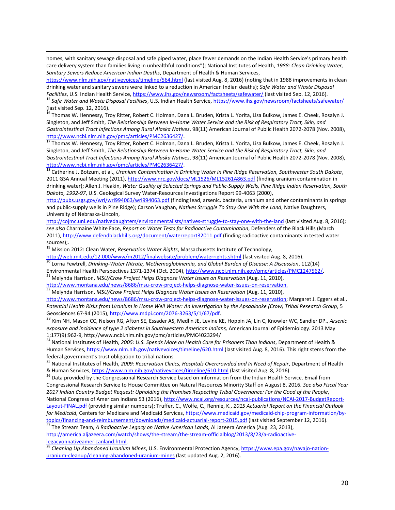homes, with sanitary sewage disposal and safe piped water, place fewer demands on the Indian Health Service's primary health care delivery system than families living in unhealthful conditions"); National Institutes of Health, *1988: Clean Drinking Water, Sanitary Sewers Reduce American Indian Deaths*, Department of Health & Human Services,

<https://www.nlm.nih.gov/nativevoices/timeline/564.html> (last visited Aug. 8, 2016) (noting that in 1988 improvements in clean drinking water and sanitary sewers were linked to a reduction in American Indian deaths); *Safe Water and Waste Disposal Facilities*, U.S. Indian Health Service,<https://www.ihs.gov/newsroom/factsheets/safewater/> (last visited Sep. 12, 2016).

<sup>15</sup> *Safe Water and Waste Disposal Facilities*, U.S. Indian Health Service,<https://www.ihs.gov/newsroom/factsheets/safewater/> (last visited Sep. 12, 2016).

<sup>16</sup> Thomas W. Hennessy, Troy Ritter, Robert C. Holman, Dana L. Bruden, Krista L. Yorita, Lisa Bulkow, James E. Cheek, Rosalyn J. Singleton, and Jeff Smith, *The Relationship Between In-Home Water Service and the Risk of Respiratory Tract, Skin, and Gastrointestinal Tract Infections Among Rural Alaska Natives*, 98(11) American Journal of Public Health 2072-2078 (Nov. 2008), [http://www.ncbi.nlm.nih.gov/pmc/articles/PMC2636427/.](http://www.ncbi.nlm.nih.gov/pmc/articles/PMC2636427/)

<sup>17</sup> Thomas W. Hennessy, Troy Ritter, Robert C. Holman, Dana L. Bruden, Krista L. Yorita, Lisa Bulkow, James E. Cheek, Rosalyn J. Singleton, and Jeff Smith, *The Relationship Between In-Home Water Service and the Risk of Respiratory Tract, Skin, and Gastrointestinal Tract Infections Among Rural Alaska Natives*, 98(11) American Journal of Public Health 2072-2078 (Nov. 2008), [http://www.ncbi.nlm.nih.gov/pmc/articles/PMC2636427/.](http://www.ncbi.nlm.nih.gov/pmc/articles/PMC2636427/)

<sup>18</sup> Catherine J. Botzum, et al., *Uranium Contamination in Drinking Water in Pine Ridge Reservation, Southwester South Dakota*, 2011 GSA Annual Meeting (2011),<http://www.nrc.gov/docs/ML1526/ML15261A863.pdf> (finding uranium contamination in drinking water); Allen J. Heakin, *Water Quality of Selected Springs and Public-Supply Wells, Pine Ridge Indian Reservation, South Dakota, 1992-97*, U.S. Geological Survey Water-Resources Investigations Report 99-4063 (2000),

<http://pubs.usgs.gov/wri/wri994063/wri994063.pdf> (finding lead, arsenic, bacteria, uranium and other contaminants in springs and public-supply wells in Pine Ridge); Carson Vaughan, *Natives Struggle To Stay One With the Land*, Native Daughters, University of Nebraska-Lincoln,

<http://cojmc.unl.edu/nativedaughters/environmentalists/natives-struggle-to-stay-one-with-the-land> (last visited Aug. 8, 2016); *see also* Charmaine White Face, *Report on Water Tests for Radioactive Contamination*, Defenders of the Black Hills (March 2011)[, http://www.defendblackhills.org/document/waterreport32011.pdf](http://www.defendblackhills.org/document/waterreport32011.pdf) (finding radioactive contaminants in tested water sources);.

<sup>19</sup> Mission 2012: Clean Water, *Reservation Water Rights*, Massachusetts Institute of Technology,

 $\overline{\phantom{a}}$ 

<http://web.mit.edu/12.000/www/m2012/finalwebsite/problem/waterrights.shtml> (last visited Aug. 8, 2016). <sup>20</sup> Lorna Fewtrell, *Drinking-Water Nitrate, Methemoglobinemia, and Global Burden of Disease: A Discussion*, 112(14)

Environmental Health Perspectives 1371-1374 (Oct. 2004), [http://www.ncbi.nlm.nih.gov/pmc/articles/PMC1247562/.](http://www.ncbi.nlm.nih.gov/pmc/articles/PMC1247562/) 

<sup>21</sup> Melynda Harrison, *MSU/Crow Project Helps Diagnose Water Issues on Reservation* (Aug. 11, 2010),

[http://www.montana.edu/news/8686/msu-crow-project-helps-diagnose-water-issues-on-reservation.](http://www.montana.edu/news/8686/msu-crow-project-helps-diagnose-water-issues-on-reservation) <sup>22</sup> Melynda Harrison, *MSU/Crow Project Helps Diagnose Water Issues on Reservation* (Aug. 11, 2010),

[http://www.montana.edu/news/8686/msu-crow-project-helps-diagnose-water-issues-on-reservation;](http://www.montana.edu/news/8686/msu-crow-project-helps-diagnose-water-issues-on-reservation) Margaret J. Eggers et al., *Potential Health Risks from Uranium in Home Well Water: An Investigation by the Apsaalooke (Crow) Tribal Research Group*, 5 Geosciences 67-94 (2015), [http://www.mdpi.com/2076-3263/5/1/67/pdf.](http://www.mdpi.com/2076-3263/5/1/67/pdf) 

<sup>23</sup> Kim NH, Mason CC, Nelson RG, Afton SE, Essader AS, Medlin JE, Levine KE, Hoppin JA, Lin C, Knowler WC, Sandler DP., *Arsenic exposure and incidence of type 2 diabetes in Southwestern American Indians,* American Journal of Epidemiology. 2013 May 1;177(9):962-9, http://www.ncbi.nlm.nih.gov/pmc/articles/PMC4023294/

<sup>24</sup> National Institutes of Health, *2005: U.S. Spends More on Health Care for Prisoners Than Indians*, Department of Health & Human Services[, https://www.nlm.nih.gov/nativevoices/timeline/620.html](https://www.nlm.nih.gov/nativevoices/timeline/620.html) (last visited Aug. 8, 2016). This right stems from the federal government's trust obligation to tribal nations.

<sup>25</sup> National Institutes of Health, *2009: Reservation Clinics, Hospitals Overcrowded and In Need of Repair*, Department of Health & Human Services, <https://www.nlm.nih.gov/nativevoices/timeline/610.html> (last visited Aug. 8, 2016).

<sup>26</sup> Data provided by the Congressional Research Service based on information from the Indian Health Service. Email from Congressional Research Service to House Committee on Natural Resources Minority Staff on August 8, 2016. *See also Fiscal Year 2017 Indian Country Budget Request: Upholding the Promises Respecting Tribal Governance: For the Good of the People*, National Congress of American Indians 53 (2016)[, http://www.ncai.org/resources/ncai-publications/NCAI-2017-BudgetReport-](http://www.ncai.org/resources/ncai-publications/NCAI-2017-BudgetReport-Layout-FINAL.pdf)[Layout-FINAL.pdf](http://www.ncai.org/resources/ncai-publications/NCAI-2017-BudgetReport-Layout-FINAL.pdf) (providing similar numbers); Truffer, C., Wolfe, C., Rennie, K., *2015 Actuarial Report on the Financial Outlook for Medicaid,* Centers for Medicare and Medicaid Services, [https://www.medicaid.gov/medicaid-chip-program-information/by](https://www.medicaid.gov/medicaid-chip-program-information/by-topics/financing-and-reimbursement/downloads/medicaid-actuarial-report-2015.pdf)[topics/financing-and-reimbursement/downloads/medicaid-actuarial-report-2015.pdf](https://www.medicaid.gov/medicaid-chip-program-information/by-topics/financing-and-reimbursement/downloads/medicaid-actuarial-report-2015.pdf) (last visited September 12, 2016).

<sup>27</sup> The Stream Team, *A Radioactive Legacy on Native American Lands*, Al Jazeera America (Aug. 23, 2013), [http://america.aljazeera.com/watch/shows/the-stream/the-stream-officialblog/2013/8/23/a-radioactive](http://america.aljazeera.com/watch/shows/the-stream/the-stream-officialblog/2013/8/23/a-radioactive-legacyonnativeamericanland.html)[legacyonnativeamericanland.html.](http://america.aljazeera.com/watch/shows/the-stream/the-stream-officialblog/2013/8/23/a-radioactive-legacyonnativeamericanland.html)

<sup>28</sup> *Cleaning Up Abandoned Uranium Mines*, U.S. Environmental Protection Agency, [https://www.epa.gov/navajo-nation](https://www.epa.gov/navajo-nation-uranium-cleanup/cleaning-abandoned-uranium-mines)[uranium-cleanup/cleaning-abandoned-uranium-mines](https://www.epa.gov/navajo-nation-uranium-cleanup/cleaning-abandoned-uranium-mines) (last updated Aug. 2, 2016).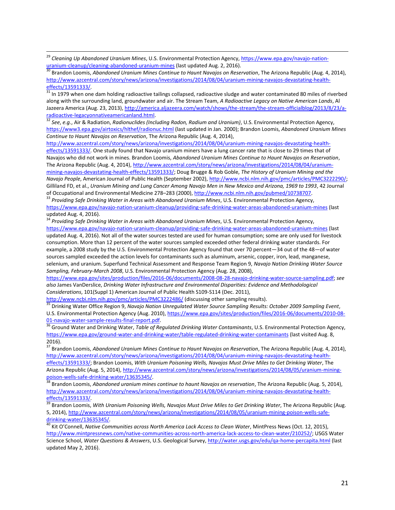<sup>29</sup> Cleaning Up Abandoned Uranium Mines, U.S. Environmental Protection Agency, <u>https://www.epa.gov/navajo-nation-</u> [uranium-cleanup/cleaning-abandoned-uranium-mines](https://www.epa.gov/navajo-nation-uranium-cleanup/cleaning-abandoned-uranium-mines) (last updated Aug. 2, 2016).

 $\overline{\phantom{a}}$ 

 $31$  In 1979 when one dam holding radioactive tailings collapsed, radioactive sludge and water contaminated 80 miles of riverbed along with the surrounding land, groundwater and air. The Stream Team, *A Radioactive Legacy on Native American Lands*, Al Jazeera America (Aug. 23, 2013), [http://america.aljazeera.com/watch/shows/the-stream/the-stream-officialblog/2013/8/23/a](http://america.aljazeera.com/watch/shows/the-stream/the-stream-officialblog/2013/8/23/a-radioactive-legacyonnativeamericanland.html)[radioactive-legacyonnativeamericanland.html.](http://america.aljazeera.com/watch/shows/the-stream/the-stream-officialblog/2013/8/23/a-radioactive-legacyonnativeamericanland.html) 

<sup>32</sup> *See*, *e.g.*, Air & Radiation, *Radionuclides (Including Radon, Radium and Uranium)*, U.S. Environmental Protection Agency, <https://www3.epa.gov/airtoxics/hlthef/radionuc.html> (last updated in Jan. 2000); Brandon Loomis, *Abandoned Uranium Mines Continue to Haunt Navajos on Reservation*, The Arizona Republic (Aug. 4, 2014),

[http://www.azcentral.com/story/news/arizona/investigations/2014/08/04/uranium-mining-navajos-devastating-health](http://www.azcentral.com/story/news/arizona/investigations/2014/08/04/uranium-mining-navajos-devastating-health-effects/13591333/)[effects/13591333/.](http://www.azcentral.com/story/news/arizona/investigations/2014/08/04/uranium-mining-navajos-devastating-health-effects/13591333/) One study found that Navajo uranium miners have a lung cancer rate that is close to 29 times that of Navajos who did not work in mines. Brandon Loomis, *Abandoned Uranium Mines Continue to Haunt Navajos on Reservation*, The Arizona Republic (Aug. 4, 2014), [http://www.azcentral.com/story/news/arizona/investigations/2014/08/04/uranium](http://www.azcentral.com/story/news/arizona/investigations/2014/08/04/uranium-mining-navajos-devastating-health-effects/13591333/)[mining-navajos-devastating-health-effects/13591333/;](http://www.azcentral.com/story/news/arizona/investigations/2014/08/04/uranium-mining-navajos-devastating-health-effects/13591333/) Doug Brugge & Rob Goble, *The History of Uranium Mining and the Navajo People*, American Journal of Public Health (September 2002)[, http://www.ncbi.nlm.nih.gov/pmc/articles/PMC3222290/;](http://www.ncbi.nlm.nih.gov/pmc/articles/PMC3222290/) Gilliland FD, et al., *Uranium Mining and Lung Cancer Among Navajo Men in New Mexico and Arizona, 1969 to 1993*, 42 Journal of Occupational and Environmental Medicine 278–283 (2000)[, http://www.ncbi.nlm.nih.gov/pubmed/10738707.](http://www.ncbi.nlm.nih.gov/pubmed/10738707)

<sup>33</sup> *Providing Safe Drinking Water in Areas with Abandoned Uranium Mines*, U.S. Environmental Protection Agency, <https://www.epa.gov/navajo-nation-uranium-cleanup/providing-safe-drinking-water-areas-abandoned-uranium-mines> (last updated Aug. 4, 2016).

<sup>34</sup> Providing Safe Drinking Water in Areas with Abandoned Uranium Mines, U.S. Environmental Protection Agency, <https://www.epa.gov/navajo-nation-uranium-cleanup/providing-safe-drinking-water-areas-abandoned-uranium-mines> (last updated Aug. 4, 2016). Not all of the water sources tested are used for human consumption; some are only used for livestock consumption. More than 12 percent of the water sources sampled exceeded other federal drinking water standards. For example, a 2008 study by the U.S. Environmental Protection Agency found that over 70 percent—34 out of the 48—of water sources sampled exceeded the action levels for contaminants such as aluminum, arsenic, copper, iron, lead, manganese, selenium, and uranium. Superfund Technical Assessment and Response Team Region 9, *Navajo Nation Drinking Water Source Sampling, February-March 2008*, U.S. Environmental Protection Agency (Aug. 28, 2008),

[https://www.epa.gov/sites/production/files/2016-06/documents/2008-08-28-navajo-drinking-water-source-sampling.pdf;](https://www.epa.gov/sites/production/files/2016-06/documents/2008-08-28-navajo-drinking-water-source-sampling.pdf) *see also* James VanDerslice, *Drinking Water Infrastructure and Environmental Disparities: Evidence and Methodological Considerations*, 101(Suppl 1) American Journal of Public Health S109-S114 (Dec. 2011),

<http://www.ncbi.nlm.nih.gov/pmc/articles/PMC3222486/> (discussing other sampling results).

<sup>35</sup> Drinking Water Office Region 9, *Navajo Nation Unregulated Water Source Sampling Results: October 2009 Sampling Event*, U.S. Environmental Protection Agency (Aug. 2010)[, https://www.epa.gov/sites/production/files/2016-06/documents/2010-08-](https://www.epa.gov/sites/production/files/2016-06/documents/2010-08-01-navajo-water-sample-results-final-report.pdf) [01-navajo-water-sample-results-final-report.pdf.](https://www.epa.gov/sites/production/files/2016-06/documents/2010-08-01-navajo-water-sample-results-final-report.pdf)

<sup>36</sup> Ground Water and Drinking Water, *Table of Regulated Drinking Water Contaminants*, U.S. Environmental Protection Agency, <https://www.epa.gov/ground-water-and-drinking-water/table-regulated-drinking-water-contaminants> (last visited Aug. 8, 2016).

<sup>37</sup> Brandon Loomis, *Abandoned Uranium Mines Continue to Haunt Navajos on Reservation*, The Arizona Republic (Aug. 4, 2014), [http://www.azcentral.com/story/news/arizona/investigations/2014/08/04/uranium-mining-navajos-devastating-health](http://www.azcentral.com/story/news/arizona/investigations/2014/08/04/uranium-mining-navajos-devastating-health-effects/13591333/)[effects/13591333/;](http://www.azcentral.com/story/news/arizona/investigations/2014/08/04/uranium-mining-navajos-devastating-health-effects/13591333/) Brandon Loomis, *With Uranium Poisoning Wells, Navajos Must Drive Miles to Get Drinking Water*, The Arizona Republic (Aug. 5, 2014), [http://www.azcentral.com/story/news/arizona/investigations/2014/08/05/uranium-mining](http://www.azcentral.com/story/news/arizona/investigations/2014/08/05/uranium-mining-poison-wells-safe-drinking-water/13635345/)[poison-wells-safe-drinking-water/13635345/.](http://www.azcentral.com/story/news/arizona/investigations/2014/08/05/uranium-mining-poison-wells-safe-drinking-water/13635345/)<br>38 Broad is:

<sup>38</sup> Brandon Loomis, *Abandoned uranium mines continue to haunt Navajos on reservation*, The Arizona Republic (Aug. 5, 2014), [http://www.azcentral.com/story/news/arizona/investigations/2014/08/04/uranium-mining-navajos-devastating-health-](http://www.azcentral.com/story/news/arizona/investigations/2014/08/04/uranium-mining-navajos-devastating-health-effects/13591333/) $\frac{effects/13591333/8}{\text{effects}/13591333/8}$ 

<sup>39</sup> Brandon Loomis, *With Uranium Poisoning Wells, Navajos Must Drive Miles to Get Drinking Water*, The Arizona Republic (Aug. 5, 2014), [http://www.azcentral.com/story/news/arizona/investigations/2014/08/05/uranium-mining-poison-wells-safe](http://www.azcentral.com/story/news/arizona/investigations/2014/08/05/uranium-mining-poison-wells-safe-drinking-water/13635345/)[drinking-water/13635345/.](http://www.azcentral.com/story/news/arizona/investigations/2014/08/05/uranium-mining-poison-wells-safe-drinking-water/13635345/) 

<sup>40</sup> Kit O'Connell, Native Communities across North America Lack Access to Clean Water, MintPress News (Oct. 12, 2015), [http://www.mintpressnews.com/native-communities-across-north-america-lack-access-to-clean-water/210252/;](http://www.mintpressnews.com/native-communities-across-north-america-lack-access-to-clean-water/210252/) USGS Water Science School, *Water Questions & Answers*, U.S. Geological Survey[, http://water.usgs.gov/edu/qa-home-percapita.html](http://water.usgs.gov/edu/qa-home-percapita.html) (last updated May 2, 2016).

<sup>30</sup> Brandon Loomis, *Abandoned Uranium Mines Continue to Haunt Navajos on Reservation*, The Arizona Republic (Aug. 4, 2014), [http://www.azcentral.com/story/news/arizona/investigations/2014/08/04/uranium-mining-navajos-devastating-health](http://www.azcentral.com/story/news/arizona/investigations/2014/08/04/uranium-mining-navajos-devastating-health-effects/13591333/)[effects/13591333/.](http://www.azcentral.com/story/news/arizona/investigations/2014/08/04/uranium-mining-navajos-devastating-health-effects/13591333/)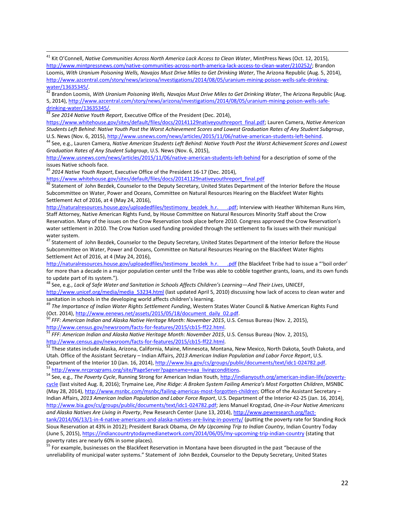<sup>41</sup> Kit O'Connell, *Native Communities Across North America Lack Access to Clean Water*, MintPress News (Oct. 12, 2015), [http://www.mintpressnews.com/native-communities-across-north-america-lack-access-to-clean-water/210252/;](http://www.mintpressnews.com/native-communities-across-north-america-lack-access-to-clean-water/210252/) Brandon Loomis, *With Uranium Poisoning Wells, Navajos Must Drive Miles to Get Drinking Water*, The Arizona Republic (Aug. 5, 2014), [http://www.azcentral.com/story/news/arizona/investigations/2014/08/05/uranium-mining-poison-wells-safe-drinking](http://www.azcentral.com/story/news/arizona/investigations/2014/08/05/uranium-mining-poison-wells-safe-drinking-water/13635345/)[water/13635345/.](http://www.azcentral.com/story/news/arizona/investigations/2014/08/05/uranium-mining-poison-wells-safe-drinking-water/13635345/)

<sup>42</sup> Brandon Loomis, *With Uranium Poisoning Wells, Navajos Must Drive Miles to Get Drinking Water*, The Arizona Republic (Aug. 5, 2014), [http://www.azcentral.com/story/news/arizona/investigations/2014/08/05/uranium-mining-poison-wells-safe](http://www.azcentral.com/story/news/arizona/investigations/2014/08/05/uranium-mining-poison-wells-safe-drinking-water/13635345/)[drinking-water/13635345/.](http://www.azcentral.com/story/news/arizona/investigations/2014/08/05/uranium-mining-poison-wells-safe-drinking-water/13635345/)

<sup>43</sup> *See 2014 Native Youth Report*, Executive Office of the President (Dec. 2014),

 $\overline{\phantom{a}}$ 

[https://www.whitehouse.gov/sites/default/files/docs/20141129nativeyouthreport\\_final.pdf;](https://www.whitehouse.gov/sites/default/files/docs/20141129nativeyouthreport_final.pdf) Lauren Camera, *Native American Students Left Behind: Native Youth Post the Worst Achievement Scores and Lowest Graduation Rates of Any Student Subgroup*, U.S. News (Nov. 6, 2015)[, http://www.usnews.com/news/articles/2015/11/06/native-american-students-left-behind.](http://www.usnews.com/news/articles/2015/11/06/native-american-students-left-behind) 

<sup>44</sup> See, e.g., Lauren Camera, *Native American Students Left Behind: Native Youth Post the Worst Achievement Scores and Lowest Graduation Rates of Any Student Subgroup*, U.S. News (Nov. 6, 2015),

<http://www.usnews.com/news/articles/2015/11/06/native-american-students-left-behind> for a description of some of the issues Native schools face.

<sup>45</sup> *2014 Native Youth Report*, Executive Office of the President 16-17 (Dec. 2014),

[https://www.whitehouse.gov/sites/default/files/docs/20141129nativeyouthreport\\_final.pdf](https://www.whitehouse.gov/sites/default/files/docs/20141129nativeyouthreport_final.pdf)

46 Statement of John Bezdek, Counselor to the Deputy Secretary, United States Department of the Interior Before the House Subcommittee on Water, Power and Oceans, Committee on Natural Resources Hearing on the Blackfeet Water Rights Settlement Act of 2016, at 4 (May 24, 2016),

http://naturalresources.house.gov/uploadedfiles/testimony\_bezdek\_h.r.\_\_\_\_.pdf; Interview with Heather Whiteman Runs Him, Staff Attorney, Native American Rights Fund, by House Committee on Natural Resources Minority Staff about the Crow Reservation. Many of the issues on the Crow Reservation took place before 2010. Congress approved the Crow Reservation's water settlement in 2010. The Crow Nation used funding provided through the settlement to fix issues with their municipal water system.

<sup>47</sup> Statement of John Bezdek, Counselor to the Deputy Secretary, United States Department of the Interior Before the House Subcommittee on Water, Power and Oceans, Committee on Natural Resources Hearing on the Blackfeet Water Rights Settlement Act of 2016, at 4 (May 24, 2016),

http://naturalresources.house.gov/uploadedfiles/testimony\_bezdek\_h.r.\_\_\_\_.pdf (the Blackfeet Tribe had to issue a "'boil order' for more than a decade in a major population center until the Tribe was able to cobble together grants, loans, and its own funds to update part of its system.").

<sup>48</sup> See, e.g., *Lack of Safe Water and Sanitation in Schools Affects Children's Learning—And Their Lives*, UNICEF, [http://www.unicef.org/media/media\\_53234.html](http://www.unicef.org/media/media_53234.html) (last updated April 5, 2010) discussing how lack of access to clean water and sanitation in schools in the developing world affects children's learning.

<sup>49</sup> *The Importance of Indian Water Rights Settlement Funding*, Western States Water Council & Native American Rights Fund (Oct. 2014)[, http://www.eenews.net/assets/2015/05/18/document\\_daily\\_02.pdf.](http://www.eenews.net/assets/2015/05/18/document_daily_02.pdf)

<sup>50</sup> *FFF: American Indian and Alaska Native Heritage Month: November 2015*, U.S. Census Bureau (Nov. 2, 2015), [http://www.census.gov/newsroom/facts-for-features/2015/cb15-ff22.html.](http://www.census.gov/newsroom/facts-for-features/2015/cb15-ff22.html)

<sup>51</sup> *FFF: American Indian and Alaska Native Heritage Month: November 2015*, U.S. Census Bureau (Nov. 2, 2015), [http://www.census.gov/newsroom/facts-for-features/2015/cb15-ff22.html.](http://www.census.gov/newsroom/facts-for-features/2015/cb15-ff22.html)

52 These states include Alaska, Arizona, California, Maine, Minnesota, Montana, New Mexico, North Dakota, South Dakota, and Utah. Office of the Assistant Secretary – Indian Affairs, *2013 American Indian Population and Labor Force Report*, U.S. Department of the Interior 10 (Jan. 16, 2014), [http://www.bia.gov/cs/groups/public/documents/text/idc1-024782.pdf.](http://www.bia.gov/cs/groups/public/documents/text/idc1-024782.pdf) 53 [http://www.nrcprograms.org/site/PageServer?pagename=naa\\_livingconditions.](http://www.nrcprograms.org/site/PageServer?pagename=naa_livingconditions)

<sup>54</sup> See, e.g., *The Poverty Cycle*, Running Strong for American Indian Youth, [http://indianyouth.org/american-indian-life/poverty](http://indianyouth.org/american-indian-life/poverty-cycle)[cycle](http://indianyouth.org/american-indian-life/poverty-cycle) (last visited Aug. 8, 2016); Trymaine Lee, *Pine Ridge: A Broken System Failing America's Most Forgotten Children*, MSNBC (May 28, 2014)[, http://www.msnbc.com/msnbc/failing-americas-most-forgotten-children;](http://www.msnbc.com/msnbc/failing-americas-most-forgotten-children) Office of the Assistant Secretary – Indian Affairs, *2013 American Indian Population and Labor Force Report*, U.S. Department of the Interior 42-25 (Jan. 16, 2014), [http://www.bia.gov/cs/groups/public/documents/text/idc1-024782.pdf;](http://www.bia.gov/cs/groups/public/documents/text/idc1-024782.pdf) Jens Manuel Krogstad, *One-in-Four Native Americans and Alaska Natives Are Living in Poverty*, Pew Research Center (June 13, 2014), [http://www.pewresearch.org/fact-](http://www.pewresearch.org/fact-tank/2014/06/13/1-in-4-native-americans-and-alaska-natives-are-living-in-poverty/)

[tank/2014/06/13/1-in-4-native-americans-and-alaska-natives-are-living-in-poverty/](http://www.pewresearch.org/fact-tank/2014/06/13/1-in-4-native-americans-and-alaska-natives-are-living-in-poverty/) (putting the poverty rate for Standing Rock Sioux Reservation at 43% in 2012); President Barack Obama, *On My Upcoming Trip to Indian Country*, Indian Country Today (June 5, 2015)[, https://indiancountrytodaymedianetwork.com/2014/06/05/my-upcoming-trip-indian-country](https://indiancountrytodaymedianetwork.com/2014/06/05/my-upcoming-trip-indian-country) (stating that poverty rates are nearly 60% in some places).

<sup>55</sup> For example, businesses on the Blackfeet Reservation in Montana have been disrupted in the past "because of the unreliability of municipal water systems." Statement of John Bezdek, Counselor to the Deputy Secretary, United States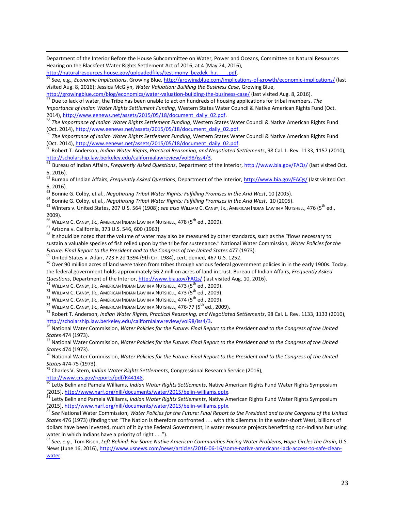Department of the Interior Before the House Subcommittee on Water, Power and Oceans, Committee on Natural Resources Hearing on the Blackfeet Water Rights Settlement Act of 2016, at 4 (May 24, 2016),

http://naturalresources.house.gov/uploadedfiles/testimony\_bezdek\_h.r. \_\_\_.pdf.

<sup>56</sup> See, e.g., *Economic Implications*, Growing Blue,<http://growingblue.com/implications-of-growth/economic-implications/> (last visited Aug. 8, 2016); Jessica McGlyn, *Water Valuation: Building the Business Case*, Growing Blue,

<http://growingblue.com/blog/economics/water-valuation-building-the-business-case/> (last visited Aug. 8, 2016). <sup>57</sup> Due to lack of water, the Tribe has been unable to act on hundreds of housing applications for tribal members. *The* 

*Importance of Indian Water Rights Settlement Funding*, Western States Water Council & Native American Rights Fund (Oct. 2014)[, http://www.eenews.net/assets/2015/05/18/document\\_daily\\_02.pdf.](http://www.eenews.net/assets/2015/05/18/document_daily_02.pdf) 

<sup>58</sup> *The Importance of Indian Water Rights Settlement Funding*, Western States Water Council & Native American Rights Fund (Oct. 2014)[, http://www.eenews.net/assets/2015/05/18/document\\_daily\\_02.pdf.](http://www.eenews.net/assets/2015/05/18/document_daily_02.pdf)

<sup>59</sup> *The Importance of Indian Water Rights Settlement Funding*, Western States Water Council & Native American Rights Fund (Oct. 2014)[, http://www.eenews.net/assets/2015/05/18/document\\_daily\\_02.pdf.](http://www.eenews.net/assets/2015/05/18/document_daily_02.pdf)

<sup>60</sup> Robert T. Anderson, *Indian Water Rights, Practical Reasoning, and Negotiated Settlements*, 98 Cal. L. Rev. 1133, 1157 (2010), [http://scholarship.law.berkeley.edu/californialawreview/vol98/iss4/3.](http://scholarship.law.berkeley.edu/californialawreview/vol98/iss4/3)

<sup>61</sup> Bureau of Indian Affairs, *Frequently Asked Questions*, Department of the Interior,<http://www.bia.gov/FAQs/> (last visited Oct. 6, 2016).

<sup>62</sup> Bureau of Indian Affairs, *Frequently Asked Questions*, Department of the Interior[, http://www.bia.gov/FAQs/](http://www.bia.gov/FAQs/) (last visited Oct. 6, 2016).

<sup>63</sup> Bonnie G. Colby, et al., *Negotiating Tribal Water Rights: Fulfilling Promises in the Arid West*, 10 (2005).

<sup>64</sup> Bonnie G. Colby, et al., *Negotiating Tribal Water Rights: Fulfilling Promises in the Arid West*, 10 (2005).

65 Winters v. United States, 207 U.S. 564 (1908); *see also* WILLIAM C. CANBY, JR., AMERICAN INDIAN LAW IN A NUTSHELL, 476 (5<sup>th</sup> ed., 2009).

 $^{66}$  William C. Canby, Jr., American Indian Law in a Nutshell, 478 ( $5^{\text{th}}$  ed., 2009).

<sup>67</sup> Arizona v. California, 373 U.S. 546, 600 (1963)

 $\overline{\phantom{a}}$ 

<sup>68</sup> It should be noted that the volume of water may also be measured by other standards, such as the "flows necessary to sustain a valuable species of fish relied upon by the tribe for sustenance." National Water Commission, *Water Policies for the*  Future: Final Report to the President and to the Congress of the United States 477 (1973).

 $^{69}$  United States v. Adair, 723 F.2d 1394 (9th Cir. 1984), cert. denied, 467 U.S. 1252.

 $^{70}$  Over 90 million acres of land were taken from tribes through various federal government policies in in the early 1900s. Today, the federal government holds approximately 56.2 million acres of land in trust. Bureau of Indian Affairs, *Frequently Asked Questions*, Department of the Interior,<http://www.bia.gov/FAQs/> (last visited Aug. 10, 2016).

 $^{71}$  William C. Canby, Jr., American Indian Law in a Nutshell, 473 (5 $^{\rm th}$  ed., 2009).

 $^{72}$  William C. Canby, Jr., American Indian Law in a Nutshell, 473 (5 $^{\rm th}$  ed., 2009).

 $^{73}$  William C. Canby, Jr., American Indian Law in a Nutshell, 474 ( $5^{\rm th}$  ed., 2009).

 $^{74}$  William C. Canby, Jr., American Indian Law in a Nutshell, 476-77 ( $5^{th}$  ed., 2009).

<sup>75</sup> Robert T. Anderson, *Indian Water Rights, Practical Reasoning, and Negotiated Settlements*, 98 Cal. L. Rev. 1133, 1133 (2010), [http://scholarship.law.berkeley.edu/californialawreview/vol98/iss4/3.](http://scholarship.law.berkeley.edu/californialawreview/vol98/iss4/3)

<sup>76</sup> National Water Commission, *Water Policies for the Future: Final Report to the President and to the Congress of the United States* 474 (1973).

<sup>77</sup> National Water Commission, *Water Policies for the Future: Final Report to the President and to the Congress of the United States* 474 (1973).

<sup>78</sup> National Water Commission, *Water Policies for the Future: Final Report to the President and to the Congress of the United States* 474-75 (1973).

<sup>79</sup> Charles V. Stern, *Indian Water Rights Settlements*, Congressional Research Service (2016),

[http://www.crs.gov/reports/pdf/R44148.](http://www.crs.gov/reports/pdf/R44148)

<sup>80</sup> Letty Belin and Pamela Williams, *Indian Water Rights Settlements*, Native American Rights Fund Water Rights Symposium (2015)[. http://www.narf.org/nill/documents/water/2015/belin-williams.pptx.](http://www.narf.org/nill/documents/water/2015/belin-williams.pptx)

<sup>81</sup> Letty Belin and Pamela Williams, *Indian Water Rights Settlements*, Native American Rights Fund Water Rights Symposium (2015)[. http://www.narf.org/nill/documents/water/2015/belin-williams.pptx.](http://www.narf.org/nill/documents/water/2015/belin-williams.pptx)

<sup>82</sup> *See* National Water Commission, *Water Policies for the Future: Final Report to the President and to the Congress of the United States* 476 (1973) (finding that "The Nation is therefore confronted . . . with this dilemma: in the water-short West, billions of dollars have been invested, much of it by the Federal Government, in water resource projects benefitting non-Indians but using water in which Indians have a priority of right . . .").

<sup>83</sup> *See, e.g.*, Tom Risen, *Left Behind: For Some Native American Communities Facing Water Problems, Hope Circles the Drain*, U.S. News (June 16, 2016)[, http://www.usnews.com/news/articles/2016-06-16/some-native-americans-lack-access-to-safe-clean](http://www.usnews.com/news/articles/2016-06-16/some-native-americans-lack-access-to-safe-clean-water)[water.](http://www.usnews.com/news/articles/2016-06-16/some-native-americans-lack-access-to-safe-clean-water)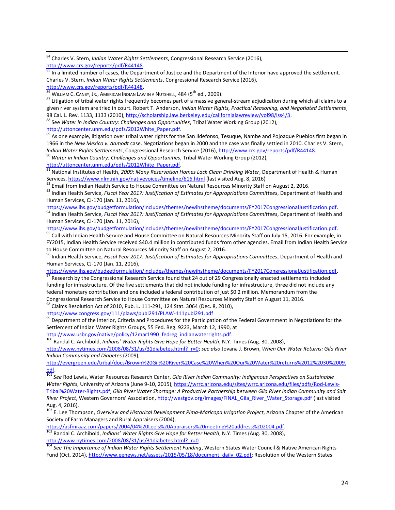<sup>84</sup> Charles V. Stern, *Indian Water Rights Settlements*, Congressional Research Service (2016), [http://www.crs.gov/reports/pdf/R44148.](http://www.crs.gov/reports/pdf/R44148)

 $85$  In a limited number of cases, the Department of Justice and the Department of the Interior have approved the settlement. Charles V. Stern, *Indian Water Rights Settlements*, Congressional Research Service (2016),

[http://www.crs.gov/reports/pdf/R44148.](http://www.crs.gov/reports/pdf/R44148)

 $\overline{\phantom{a}}$ 

 $86$  WILLIAM C. CANBY, JR., AMERICAN INDIAN LAW IN A NUTSHELL,  $484$  ( $5<sup>th</sup>$  ed., 2009).

<sup>87</sup> Litigation of tribal water rights frequently becomes part of a massive general-stream adjudication during which all claims to a given river system are tried in court. Robert T. Anderson, *Indian Water Rights, Practical Reasoning, and Negotiated Settlements*, 98 Cal. L. Rev. 1133, 1133 (2010)[, http://scholarship.law.berkeley.edu/californialawreview/vol98/iss4/3.](http://scholarship.law.berkeley.edu/californialawreview/vol98/iss4/3)

<sup>88</sup> See *Water in Indian Country: Challenges and Opportunities*, Tribal Water Working Group (2012), [http://uttoncenter.unm.edu/pdfs/2012White\\_Paper.pdf.](http://uttoncenter.unm.edu/pdfs/2012White_Paper.pdf)

<sup>89</sup> As one example, litigation over tribal water rights for the San Ildefonso, Tesuque, Nambe and Pojoaque Pueblos first began in 1966 in the *New Mexico v. Aamodt* case. Negotiations began in 2000 and the case was finally settled in 2010. Charles V. Stern, *Indian Water Rights Settlements*, Congressional Research Service (2016), [http://www.crs.gov/reports/pdf/R44148.](http://www.crs.gov/reports/pdf/R44148)

<sup>90</sup> *Water in Indian Country: Challenges and Opportunities*, Tribal Water Working Group (2012),

[http://uttoncenter.unm.edu/pdfs/2012White\\_Paper.pdf.](http://uttoncenter.unm.edu/pdfs/2012White_Paper.pdf)

91 National Institutes of Health, 2009: Many Reservation Homes Lack Clean Drinking Water, Department of Health & Human Services, <https://www.nlm.nih.gov/nativevoices/timeline/616.html> (last visited Aug. 8, 2016)

92 Email from Indian Health Service to House Committee on Natural Resources Minority Staff on August 2, 2016.

<sup>93</sup> Indian Health Service, *Fiscal Year 2017: Justification of Estimates for Appropriations Committees*, Department of Health and Human Services, CJ-170 (Jan. 11, 2016),

[https://www.ihs.gov/budgetformulation/includes/themes/newihstheme/documents/FY2017CongressionalJustification.pdf.](https://www.ihs.gov/budgetformulation/includes/themes/newihstheme/documents/FY2017CongressionalJustification.pdf)

<sup>94</sup> Indian Health Service, *Fiscal Year 2017: Justification of Estimates for Appropriations Committees*, Department of Health and Human Services, CJ-170 (Jan. 11, 2016),

[https://www.ihs.gov/budgetformulation/includes/themes/newihstheme/documents/FY2017CongressionalJustification.pdf.](https://www.ihs.gov/budgetformulation/includes/themes/newihstheme/documents/FY2017CongressionalJustification.pdf)

<sup>95</sup> Call with Indian Health Service and House Committee on Natural Resources Minority Staff on July 15, 2016. For example, in FY2015, Indian Health Service received \$40.4 million in contributed funds from other agencies. Email from Indian Health Service to House Committee on Natural Resources Minority Staff on August 2, 2016.

<sup>96</sup> Indian Health Service, *Fiscal Year 2017: Justification of Estimates for Appropriations Committees*, Department of Health and Human Services, CJ-170 (Jan. 11, 2016),

[https://www.ihs.gov/budgetformulation/includes/themes/newihstheme/documents/FY2017CongressionalJustification.pdf.](https://www.ihs.gov/budgetformulation/includes/themes/newihstheme/documents/FY2017CongressionalJustification.pdf)

<sup>97</sup> Research by the Congressional Research Service found that 24 out of 29 Congressionally enacted settlements included funding for infrastructure. Of the five settlements that did not include funding for infrastructure, three did not include any federal monetary contribution and one included a federal contribution of just \$0.2 million. Memorandum from the Congressional Research Service to House Committee on Natural Resources Minority Staff on August 11, 2016.

98 Claims Resolution Act of 2010, Pub. L. 111-291, 124 Stat. 3064 (Dec. 8, 2010),

<https://www.congress.gov/111/plaws/publ291/PLAW-111publ291.pdf>

<sup>99</sup> Department of the Interior, Criteria and Procedures for the Participation of the Federal Government in Negotiations for the Settlement of Indian Water Rights Groups, 55 Fed. Reg. 9223, March 12, 1990, at

[http://www.usbr.gov/native/policy/12mar1990\\_fedreg\\_indianwaterrights.pdf.](http://www.usbr.gov/native/policy/12mar1990_fedreg_indianwaterrights.pdf)

<sup>100</sup> Randal C. Archibold, *Indians' Water Rights Give Hope for Better Health*, N.Y. Times (Aug. 30, 2008),

[http://www.nytimes.com/2008/08/31/us/31diabetes.html?\\_r=0;](http://www.nytimes.com/2008/08/31/us/31diabetes.html?_r=0) *see also* Jovana J. Brown, *When Our Water Returns: Gila River Indian Community and Diabetes* (2009),

[http://evergreen.edu/tribal/docs/Brown%20Gil%20River%20Case%20When%20Our%20Water%20returns%2012%2030%2009.](http://evergreen.edu/tribal/docs/Brown%20Gil%20River%20Case%20When%20Our%20Water%20returns%2012%2030%2009.pdf) [pdf.](http://evergreen.edu/tribal/docs/Brown%20Gil%20River%20Case%20When%20Our%20Water%20returns%2012%2030%2009.pdf)

<sup>101</sup> See Rod Lewis, Water Resources Research Center, *Gila River Indian Community: Indigenous Perspectives on Sustainable Water Rights*, University of Arizona (June 9-10, 2015), [https://wrrc.arizona.edu/sites/wrrc.arizona.edu/files/pdfs/Rod-Lewis-](https://wrrc.arizona.edu/sites/wrrc.arizona.edu/files/pdfs/Rod-Lewis-Tribal%20Water-Rights.pdf)[Tribal%20Water-Rights.pdf;](https://wrrc.arizona.edu/sites/wrrc.arizona.edu/files/pdfs/Rod-Lewis-Tribal%20Water-Rights.pdf) *Gila River Water Shortage: A Productive Partnership between Gila River Indian Community and Salt River Project*, Western Governors' Association, [http://westgov.org/images/FINAL\\_Gila\\_River\\_Water\\_Storage.pdf](http://westgov.org/images/FINAL_Gila_River_Water_Storage.pdf) (last visited Aug. 4, 2016).

<sup>102</sup> E. Lee Thompson, *Overview and Historical Development Pima-Maricopa Irrigation Project*, Arizona Chapter of the American Society of Farm Managers and Rural Appraisers (2004),

[https://asfmraaz.com/papers/2004/04%20Lee's%20Appraisers%20meeting%20address%202004.pdf.](https://asfmraaz.com/papers/2004/04%20Lee) 

<sup>103</sup> Randal C. Archibold, *Indians' Water Rights Give Hope for Better Health*, N.Y. Times (Aug. 30, 2008), [http://www.nytimes.com/2008/08/31/us/31diabetes.html?\\_r=0.](http://www.nytimes.com/2008/08/31/us/31diabetes.html?_r=0)

<sup>104</sup> *See The Importance of Indian Water Rights Settlement Funding*, Western States Water Council & Native American Rights Fund (Oct. 2014)[, http://www.eenews.net/assets/2015/05/18/document\\_daily\\_02.pdf;](http://www.eenews.net/assets/2015/05/18/document_daily_02.pdf) Resolution of the Western States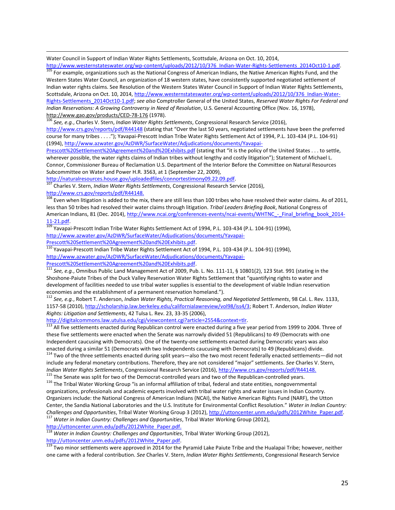Water Council in Support of Indian Water Rights Settlements, Scottsdale, Arizona on Oct. 10, 2014,

 $\overline{\phantom{a}}$ 

[http://www.westernstateswater.org/wp-content/uploads/2012/10/376\\_Indian-Water-Rights-Settlements\\_2014Oct10-1.pdf.](http://www.westernstateswater.org/wp-content/uploads/2012/10/376_Indian-Water-Rights-Settlements_2014Oct10-1.pdf) 105 For example, organizations such as the National Congress of American Indians, the Native American Rights Fund, and the Western States Water Council, an organization of 18 western states, have consistently supported negotiated settlement of Indian water rights claims. See Resolution of the Western States Water Council in Support of Indian Water Rights Settlements, Scottsdale, Arizona on Oct. 10, 2014[, http://www.westernstateswater.org/wp-content/uploads/2012/10/376\\_Indian-Water-](http://www.westernstateswater.org/wp-content/uploads/2012/10/376_Indian-Water-Rights-Settlements_2014Oct10-1.pdf)[Rights-Settlements\\_2014Oct10-1.pdf;](http://www.westernstateswater.org/wp-content/uploads/2012/10/376_Indian-Water-Rights-Settlements_2014Oct10-1.pdf) *see also* Comptroller General of the United States, *Reserved Water Rights For Federal and Indian Reservations: A Growing Controversy in Need of Resolution*, U.S. General Accounting Office (Nov. 16, 1978), <http://www.gao.gov/products/CED-78-176> (1978).

<sup>106</sup> *See, e.g.*, Charles V. Stern, *Indian Water Rights Settlements*, Congressional Research Service (2016),

<http://www.crs.gov/reports/pdf/R44148> (stating that "Over the last 50 years, negotiated settlements have been the preferred course for many tribes . . . ."); Yavapai-Prescott Indian Tribe Water Rights Settlement Act of 1994, P.L. 103-434 (P.L. 104-91) (1994)[, http://www.azwater.gov/AzDWR/SurfaceWater/Adjudications/documents/Yavapai-](http://www.azwater.gov/AzDWR/SurfaceWater/Adjudications/documents/Yavapai-Prescott%20Settlement%20Agreement%20and%20Exhibits.pdf)

[Prescott%20Settlement%20Agreement%20and%20Exhibits.pdf](http://www.azwater.gov/AzDWR/SurfaceWater/Adjudications/documents/Yavapai-Prescott%20Settlement%20Agreement%20and%20Exhibits.pdf) (stating that "it is the policy of the United States . . . to settle, wherever possible, the water rights claims of Indian tribes without lengthy and costly litigation"); Statement of Michael L. Connor, Commissioner Bureau of Reclamation U.S. Department of the Interior Before the Committee on Natural Resources Subcommittee on Water and Power H.R. 3563, at 1 (September 22, 2009),

[http://naturalresources.house.gov/uploadedfiles/connortestimony09.22.09.pdf.](http://naturalresources.house.gov/uploadedfiles/connortestimony09.22.09.pdf)

<sup>107</sup> Charles V. Stern, *Indian Water Rights Settlements*, Congressional Research Service (2016), [http://www.crs.gov/reports/pdf/R44148.](http://www.crs.gov/reports/pdf/R44148)

<sup>108</sup> Even when litigation is added to the mix, there are still less than 100 tribes who have resolved their water claims. As of 2011, less than 50 tribes had resolved their water claims through litigation. *Tribal Leaders Briefing Book*, National Congress of American Indians, 81 (Dec. 2014), http://www.ncai.org/conferences-events/ncai-events/WHTNC - Final\_briefing\_book\_2014-[11-21.pdf.](http://www.ncai.org/conferences-events/ncai-events/WHTNC_-_Final_briefing_book_2014-11-21.pdf) 

<sup>109</sup> Yavapai-Prescott Indian Tribe Water Rights Settlement Act of 1994, P.L. 103-434 (P.L. 104-91) (1994), [http://www.azwater.gov/AzDWR/SurfaceWater/Adjudications/documents/Yavapai-](http://www.azwater.gov/AzDWR/SurfaceWater/Adjudications/documents/Yavapai-Prescott%20Settlement%20Agreement%20and%20Exhibits.pdf)[Prescott%20Settlement%20Agreement%20and%20Exhibits.pdf.](http://www.azwater.gov/AzDWR/SurfaceWater/Adjudications/documents/Yavapai-Prescott%20Settlement%20Agreement%20and%20Exhibits.pdf)

 $^{110}$  Yavapai-Prescott Indian Tribe Water Rights Settlement Act of 1994, P.L. 103-434 (P.L. 104-91) (1994), [http://www.azwater.gov/AzDWR/SurfaceWater/Adjudications/documents/Yavapai-](http://www.azwater.gov/AzDWR/SurfaceWater/Adjudications/documents/Yavapai-Prescott%20Settlement%20Agreement%20and%20Exhibits.pdf)[Prescott%20Settlement%20Agreement%20and%20Exhibits.pdf.](http://www.azwater.gov/AzDWR/SurfaceWater/Adjudications/documents/Yavapai-Prescott%20Settlement%20Agreement%20and%20Exhibits.pdf)

<sup>111</sup> *See, e.g.*, Omnibus Public Land Management Act of 2009, Pub. L. No. 111-11, § 10801(2), 123 Stat. 991 (stating in the Shoshone-Paiute Tribes of the Duck Valley Reservation Water Rights Settlement that "quantifying rights to water and development of facilities needed to use tribal water supplies is essential to the development of viable Indian reservation economies and the establishment of a permanent reservation homeland.").

<sup>112</sup> *See, e.g.*, Robert T. Anderson, *Indian Water Rights, Practical Reasoning, and Negotiated Settlements*, 98 Cal. L. Rev. 1133, 1157-58 (2010)[, http://scholarship.law.berkeley.edu/californialawreview/vol98/iss4/3;](http://scholarship.law.berkeley.edu/californialawreview/vol98/iss4/3) Robert T. Anderson, *Indian Water Rights: Litigation and Settlements*, 42 Tulsa L. Rev. 23, 33-35 (2006),

[http://digitalcommons.law.utulsa.edu/cgi/viewcontent.cgi?article=2554&context=tlr.](http://digitalcommons.law.utulsa.edu/cgi/viewcontent.cgi?article=2554&context=tlr)

113 All five settlements enacted during Republican control were enacted during a five year period from 1999 to 2004. Three of these five settlements were enacted when the Senate was narrowly divided 51 (Republicans) to 49 (Democrats with one Independent caucusing with Democrats). One of the twenty-one settlements enacted during Democratic years was also enacted during a similar 51 (Democrats with two Independents caucusing with Democrats) to 49 (Republicans) divide.

 $114$  Two of the three settlements enacted during split years—also the two most recent federally enacted settlements—did not include any federal monetary contributions. Therefore, they are not considered "major" settlements. *See* Charles V. Stern, *Indian Water Rights Settlements*, Congressional Research Service (2016), [http://www.crs.gov/reports/pdf/R44148.](http://www.crs.gov/reports/pdf/R44148)

<sup>115</sup> The Senate was split for two of the Democrat-controlled years and two of the Republican-controlled years.

<sup>116</sup> The Tribal Water Working Group "is an informal affiliation of tribal, federal and state entities, nongovernmental organizations, professionals and academic experts involved with tribal water rights and water issues in Indian Country. Organizers include: the National Congress of American Indians (NCAI), the Native American Rights Fund (NARF), the Utton Center, the Sandia National Laboratories and the U.S. Institute for Environmental Conflict Resolution." *Water in Indian Country: Challenges and Opportunities*, Tribal Water Working Group 3 (2012), [http://uttoncenter.unm.edu/pdfs/2012White\\_Paper.pdf.](http://uttoncenter.unm.edu/pdfs/2012White_Paper.pdf) <sup>117</sup> *Water in Indian Country: Challenges and Opportunities*, Tribal Water Working Group (2012),

[http://uttoncenter.unm.edu/pdfs/2012White\\_Paper.pdf.](http://uttoncenter.unm.edu/pdfs/2012White_Paper.pdf)

<sup>118</sup> *Water in Indian Country: Challenges and Opportunities*, Tribal Water Working Group (2012), [http://uttoncenter.unm.edu/pdfs/2012White\\_Paper.pdf.](http://uttoncenter.unm.edu/pdfs/2012White_Paper.pdf)

119 Two minor settlements were approved in 2014 for the Pyramid Lake Paiute Tribe and the Hualapai Tribe; however, neither one came with a federal contribution. *See* Charles V. Stern, *Indian Water Rights Settlements*, Congressional Research Service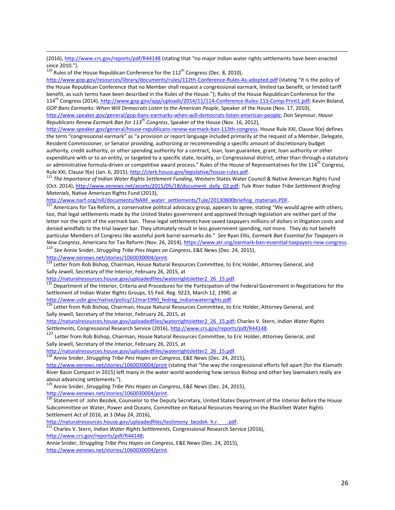(2016)[, http://www.crs.gov/reports/pdf/R44148](http://www.crs.gov/reports/pdf/R44148) (stating that "no major Indian water rights settlements have been enacted since 2010.").

 $120$  Rules of the House Republican Conference for the  $112<sup>th</sup>$  Congress (Dec. 8, 2010),

 $\overline{\phantom{a}}$ 

<http://www.gop.gov/resources/library/documents/rules/112th-Conference-Rules-As-adopted.pdf> (stating "It is the policy of the House Republican Conference that no Member shall request a congressional earmark, limited tax benefit, or limited tariff benefit, as such terms have been described in the Rules of the House."); Rules of the House Republican Conference for the 114<sup>th</sup> Congress (2014), [http://www.gop.gov/app/uploads/2014/11/114-Conference-Rules-113-Comp-Print1.pdf;](http://www.gop.gov/app/uploads/2014/11/114-Conference-Rules-113-Comp-Print1.pdf) Kevin Boland, *GOP Bans Earmarks: When Will Democrats Listen to the American People*, Speaker of the House (Nov. 17, 2010), [http://www.speaker.gov/general/gop-bans-earmarks-when-will-democrats-listen-american-people;](http://www.speaker.gov/general/gop-bans-earmarks-when-will-democrats-listen-american-people) Don Seymour, *House Republicans Renew Earmark Ban for 113th Congress*, Speaker of the House (Nov. 16, 2012),

[http://www.speaker.gov/general/house-republicans-renew-earmark-ban-113th-congress.](http://www.speaker.gov/general/house-republicans-renew-earmark-ban-113th-congress) House Rule XXI, Clause 9(e) defines the term "congressional earmark" as "a provision or report language included primarily at the request of a Member, Delegate, Resident Commissioner, or Senator providing, authorizing or recommending a specific amount of discretionary budget authority, credit authority, or other spending authority for a contract, loan, loan guarantee, grant, loan authority or other expenditure with or to an entity, or targeted to a specific state, locality, or Congressional district, other than through a statutory or administrative formula-driven or competitive award process." Rules of the House of Representatives for the  $114<sup>th</sup>$  Congress, Rule XXI, Clause 9(e) (Jan. 6, 2015)[, http://clerk.house.gov/legislative/house-rules.pdf.](http://clerk.house.gov/legislative/house-rules.pdf) 

<sup>121</sup> *The Importance of Indian Water Rights Settlement Funding*, Western States Water Council & Native American Rights Fund (Oct. 2014)[, http://www.eenews.net/assets/2015/05/18/document\\_daily\\_02.pdf;](http://www.eenews.net/assets/2015/05/18/document_daily_02.pdf) *Tule River Indian Tribe Settlement Briefing Materials*, Native American Rights Fund (2013),

http://www.narf.org/nill/documents/NARF\_water\_settlements/Tule/20130800briefing\_materials.PDF.

122 Americans for Tax Reform, a conservative political advocacy group, appears to agree, stating "We would agree with others, too, that legal settlements made by the United States government and approved through legislation are neither part of the letter nor the spirit of the earmark ban. These legal settlements have saved taxpayers millions of dollars in litigation costs and denied windfalls to the trial lawyer bar. They ultimately result in less government spending, not more. They do not benefit particular Members of Congress like wasteful pork barrel earmarks do." *See* Ryan Ellis, *Earmark Ban Essential for Taxpayers in New Congress*, Americans for Tax Reform (Nov. 26, 2014)[, https://www.atr.org/earmark-ban-essential-taxpayers-new-congress.](https://www.atr.org/earmark-ban-essential-taxpayers-new-congress) <sup>123</sup> *See* Annie Snider, *Struggling Tribe Pins Hopes on Congress*, E&E News (Dec. 24, 2015),

[http://www.eenews.net/stories/1060030004/print.](http://www.eenews.net/stories/1060030004/print)

<sup>124</sup> Letter from Rob Bishop, Chairman, House Natural Resources Committee, to Eric Holder, Attorney General, and Sally Jewell, Secretary of the Interior, February 26, 2015, at

[http://naturalresources.house.gov/uploadedfiles/waterrightsletter2\\_26\\_15.pdf.](http://naturalresources.house.gov/uploadedfiles/waterrightsletter2_26_15.pdf) 

<sup>125</sup> Department of the Interior, Criteria and Procedures for the Participation of the Federal Government in Negotiations for the Settlement of Indian Water Rights Groups, 55 Fed. Reg. 9223, March 12, 1990, at

[http://www.usbr.gov/native/policy/12mar1990\\_fedreg\\_indianwaterrights.pdf.](http://www.usbr.gov/native/policy/12mar1990_fedreg_indianwaterrights.pdf)

<sup>126</sup> Letter from Rob Bishop, Chairman, House Natural Resources Committee, to Eric Holder, Attorney General, and Sally Jewell, Secretary of the Interior, February 26, 2015, at

[http://naturalresources.house.gov/uploadedfiles/waterrightsletter2\\_26\\_15.pdf;](http://naturalresources.house.gov/uploadedfiles/waterrightsletter2_26_15.pdf) Charles V. Stern, *Indian Water Rights Settlements*, Congressional Research Service (2016)[, http://www.crs.gov/reports/pdf/R44148.](http://www.crs.gov/reports/pdf/R44148) 

<sup>127</sup> Letter from Rob Bishop, Chairman, House Natural Resources Committee, to Eric Holder, Attorney General, and Sally Jewell, Secretary of the Interior, February 26, 2015, at

[http://naturalresources.house.gov/uploadedfiles/waterrightsletter2\\_26\\_15.pdf.](http://naturalresources.house.gov/uploadedfiles/waterrightsletter2_26_15.pdf)

<sup>128</sup> Annie Snider, *Struggling Tribe Pins Hopes on Congress*, E&E News (Dec. 24, 2015),

<http://www.eenews.net/stories/1060030004/print> (stating that "the way the congressional efforts fell apart [for the Klamath River Basin Compact in 2015] left many in the water world wondering how serious Bishop and other key lawmakers really are about advancing settlements.").

<sup>129</sup> Annie Snider, *Struggling Tribe Pins Hopes on Congress*, E&E News (Dec. 24, 2015),

[http://www.eenews.net/stories/1060030004/print.](http://www.eenews.net/stories/1060030004/print)

<sup>130</sup> Statement of John Bezdek, Counselor to the Deputy Secretary, United States Department of the Interior Before the House Subcommittee on Water, Power and Oceans, Committee on Natural Resources Hearing on the Blackfeet Water Rights Settlement Act of 2016, at 3 (May 24, 2016),

http://naturalresources.house.gov/uploadedfiles/testimony\_bezdek\_h.r.\_\_\_\_.pdf.

<sup>131</sup> Charles V. Stern, *Indian Water Rights Settlements*, Congressional Research Service (2016),

[http://www.crs.gov/reports/pdf/R44148;](http://www.crs.gov/reports/pdf/R44148) 

Annie Snider, *Struggling Tribe Pins Hopes on Congress*, E&E News (Dec. 24, 2015), [http://www.eenews.net/stories/1060030004/print.](http://www.eenews.net/stories/1060030004/print)